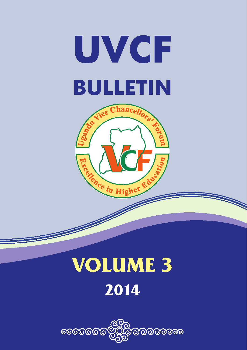



# **VOLUME 3** 2014

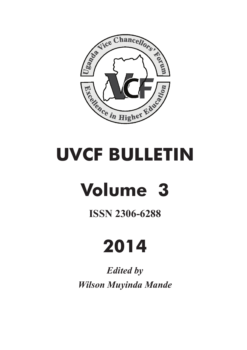

# **UVCF BULLETIN**

# **Volume 3**

# **ISSN 2306-6288**

# **2014**

*Edited by Wilson Muyinda Mande*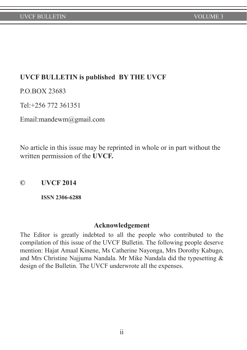# **UVCF BULLETIN is published BY THE UVCF**

P.O.BOX 23683

Tel:+256 772 361351

Email:mandewm@gmail.com

No article in this issue may be reprinted in whole or in part without the written permission of the **UVCF.**

**© UVCF 2014**

**ISSN 2306-6288**

#### **Acknowledgement**

The Editor is greatly indebted to all the people who contributed to the compilation of this issue of the UVCF Bulletin. The following people deserve mention: Hajat Amaal Kinene, Ms Catherine Nayonga, Mrs Dorothy Kabugo, and Mrs Christine Najjuma Nandala. Mr Mike Nandala did the typesetting & design of the Bulletin. The UVCF underwrote all the expenses.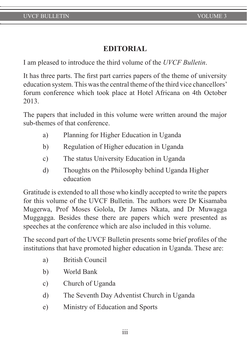# **EDITORIAL**

I am pleased to introduce the third volume of the *UVCF Bulletin*.

It has three parts. The first part carries papers of the theme of university education system. This was the central theme of the third vice chancellors' forum conference which took place at Hotel Africana on 4th October 2013.

The papers that included in this volume were written around the major sub-themes of that conference.

- a) Planning for Higher Education in Uganda
- b) Regulation of Higher education in Uganda
- c) The status University Education in Uganda
- d) Thoughts on the Philosophy behind Uganda Higher education

Gratitude is extended to all those who kindly accepted to write the papers for this volume of the UVCF Bulletin. The authors were Dr Kisamaba Mugerwa, Prof Moses Golola, Dr James Nkata, and Dr Muwagga Muggagga. Besides these there are papers which were presented as speeches at the conference which are also included in this volume.

The second part of the UVCF Bulletin presents some brief profiles of the institutions that have promoted higher education in Uganda. These are:

- a) British Council
- b) World Bank
- c) Church of Uganda
- d) The Seventh Day Adventist Church in Uganda
- e) Ministry of Education and Sports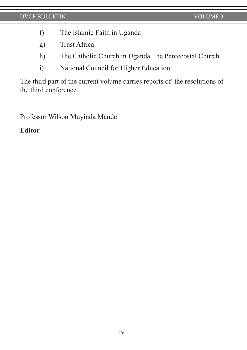- f) The Islamic Faith in Uganda
- g) Trust Africa
- h) The Catholic Church in Uganda The Pentecostal Church
- i) National Council for Higher Education

The third part of the current volume carries reports of the resolutions of the third conference.

Professor Wilson Muyinda Mande

# **Editor**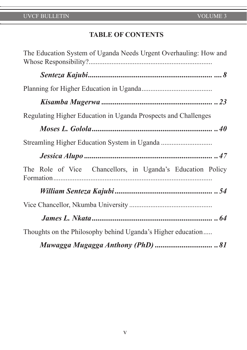# **TABLE OF CONTENTS**

| The Education System of Uganda Needs Urgent Overhauling: How and |
|------------------------------------------------------------------|
|                                                                  |
|                                                                  |
|                                                                  |
| Regulating Higher Education in Uganda Prospects and Challenges   |
|                                                                  |
|                                                                  |
|                                                                  |
| The Role of Vice Chancellors, in Uganda's Education Policy       |
|                                                                  |
|                                                                  |
|                                                                  |
| Thoughts on the Philosophy behind Uganda's Higher education      |
|                                                                  |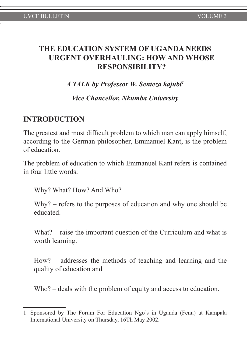# **THE EDUCATION SYSTEM OF UGANDA NEEDS URGENT OVERHAULING: HOW AND WHOSE RESPONSIBILITY?**

*A TALK by Professor W. Senteza kajubi1*

*Vice Chancellor, Nkumba University*

# **INTRODUCTION**

The greatest and most difficult problem to which man can apply himself, according to the German philosopher, Emmanuel Kant, is the problem of education.

The problem of education to which Emmanuel Kant refers is contained in four little words:

Why? What? How? And Who?

Why? – refers to the purposes of education and why one should be educated.

What? – raise the important question of the Curriculum and what is worth learning.

How? – addresses the methods of teaching and learning and the quality of education and

Who? – deals with the problem of equity and access to education.

<sup>1</sup> Sponsored by The Forum For Education Ngo's in Uganda (Fenu) at Kampala International University on Thursday, 16Th May 2002.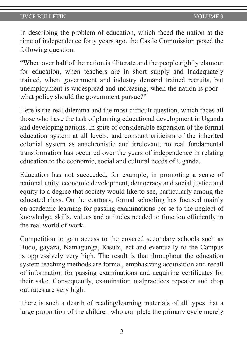In describing the problem of education, which faced the nation at the rime of independence forty years ago, the Castle Commission posed the following question:

"When over half of the nation is illiterate and the people rightly clamour for education, when teachers are in short supply and inadequately trained, when government and industry demand trained recruits, but unemployment is widespread and increasing, when the nation is poor – what policy should the government pursue?"

Here is the real dilemma and the most difficult question, which faces all those who have the task of planning educational development in Uganda and developing nations. In spite of considerable expansion of the formal education system at all levels, and constant criticism of the inherited colonial system as anachronistic and irrelevant, no real fundamental transformation has occurred over the years of independence in relating education to the economic, social and cultural needs of Uganda.

Education has not succeeded, for example, in promoting a sense of national unity, economic development, democracy and social justice and equity to a degree that society would like to see, particularly among the educated class. On the contrary, formal schooling has focused mainly on academic learning for passing examinations per se to the neglect of knowledge, skills, values and attitudes needed to function efficiently in the real world of work.

Competition to gain access to the covered secondary schools such as Budo, gayaza, Namagunga, Kisubi, ect and eventually to the Campus is oppressively very high. The result is that throughout the education system teaching methods are formal, emphasizing acquisition and recall of information for passing examinations and acquiring certificates for their sake. Consequently, examination malpractices repeater and drop out rates are very high.

There is such a dearth of reading/learning materials of all types that a large proportion of the children who complete the primary cycle merely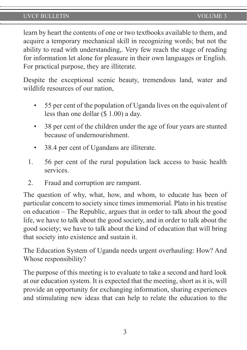learn by heart the contents of one or two textbooks available to them, and acquire a temporary mechanical skill in recognizing words; but not the ability to read with understanding,. Very few reach the stage of reading for information let alone for pleasure in their own languages or English. For practical purpose, they are illiterate.

Despite the exceptional scenic beauty, tremendous land, water and wildlife resources of our nation,

- 55 per cent of the population of Uganda lives on the equivalent of less than one dollar (\$ 1.00) a day.
- 38 per cent of the children under the age of four years are stunted because of undernourishment.
- 38.4 per cent of Ugandans are illiterate.
- 1. 56 per cent of the rural population lack access to basic health services.
- 2. Fraud and corruption are rampant.

The question of why, what, how, and whom, to educate has been of particular concern to society since times immemorial. Plato in his treatise on education – The Republic, argues that in order to talk about the good life, we have to talk about the good society, and in order to talk about the good society; we have to talk about the kind of education that will bring that society into existence and sustain it.

The Education System of Uganda needs urgent overhauling: How? And Whose responsibility?

The purpose of this meeting is to evaluate to take a second and hard look at our education system. It is expected that the meeting, short as it is, will provide an opportunity for exchanging information, sharing experiences and stimulating new ideas that can help to relate the education to the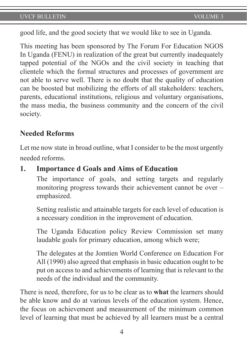good life, and the good society that we would like to see in Uganda.

This meeting has been sponsored by The Forum For Education NGOS In Uganda (FENU) in realization of the great but currently inadequately tapped potential of the NGOs and the civil society in teaching that clientele which the formal structures and processes of government are not able to serve well. There is no doubt that the quality of education can be boosted but mobilizing the efforts of all stakeholders: teachers, parents, educational institutions, religious and voluntary organisations, the mass media, the business community and the concern of the civil society.

# **Needed Reforms**

Let me now state in broad outline, what I consider to be the most urgently needed reforms.

# **1. Importance d Goals and Aims of Education**

The importance of goals, and setting targets and regularly monitoring progress towards their achievement cannot be over – emphasized.

Setting realistic and attainable targets for each level of education is a necessary condition in the improvement of education.

The Uganda Education policy Review Commission set many laudable goals for primary education, among which were;

The delegates at the Jomtien World Conference on Education For All (1990) also agreed that emphasis in basic education ought to be put on access to and achievements of learning that is relevant to the needs of the individual and the community.

There is need, therefore, for us to be clear as to **what** the learners should be able know and do at various levels of the education system. Hence, the focus on achievement and measurement of the minimum common level of learning that must be achieved by all learners must be a central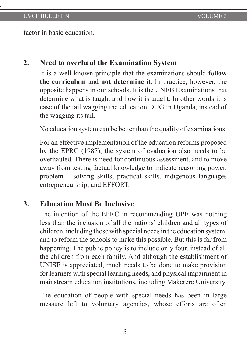factor in basic education.

# **2. Need to overhaul the Examination System**

It is a well known principle that the examinations should **follow the curriculum** and **not determine** it. In practice, however, the opposite happens in our schools. It is the UNEB Examinations that determine what is taught and how it is taught. In other words it is case of the tail wagging the education DUG in Uganda, instead of the wagging its tail.

No education system can be better than the quality of examinations.

For an effective implementation of the education reforms proposed by the EPRC (1987), the system of evaluation also needs to be overhauled. There is need for continuous assessment, and to move away from testing factual knowledge to indicate reasoning power, problem – solving skills, practical skills, indigenous languages entrepreneurship, and EFFORT.

# **3. Education Must Be Inclusive**

The intention of the EPRC in recommending UPE was nothing less than the inclusion of all the nations' children and all types of children, including those with special needs in the education system, and to reform the schools to make this possible. But this is far from happening. The public policy is to include only four, instead of all the children from each family. And although the establishment of UNISE is appreciated, much needs to be done to make provision for learners with special learning needs, and physical impairment in mainstream education institutions, including Makerere University.

The education of people with special needs has been in large measure left to voluntary agencies, whose efforts are often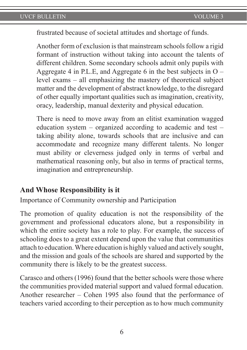frustrated because of societal attitudes and shortage of funds.

Another form of exclusion is that mainstream schools follow a rigid formant of instruction without taking into account the talents of different children. Some secondary schools admit only pupils with Aggregate 4 in P.L.E, and Aggregate 6 in the best subjects in  $O$ level exams – all emphasizing the mastery of theoretical subject matter and the development of abstract knowledge, to the disregard of other equally important qualities such as imagination, creativity, oracy, leadership, manual dexterity and physical education.

There is need to move away from an elitist examination wagged education system – organized according to academic and test – taking ability alone, towards schools that are inclusive and can accommodate and recognize many different talents. No longer must ability or cleverness judged only in terms of verbal and mathematical reasoning only, but also in terms of practical terms, imagination and entrepreneurship.

# **And Whose Responsibility is it**

Importance of Community ownership and Participation

The promotion of quality education is not the responsibility of the government and professional educators alone, but a responsibility in which the entire society has a role to play. For example, the success of schooling does to a great extent depend upon the value that communities attach to education. Where education is highly valued and actively sought, and the mission and goals of the schools are shared and supported by the community there is likely to be the greatest success.

Carasco and others (1996) found that the better schools were those where the communities provided material support and valued formal education. Another researcher – Cohen 1995 also found that the performance of teachers varied according to their perception as to how much community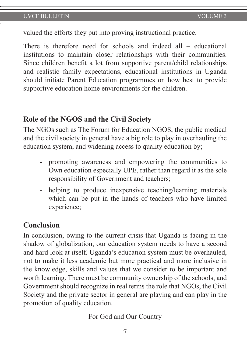valued the efforts they put into proving instructional practice.

There is therefore need for schools and indeed all – educational institutions to maintain closer relationships with their communities. Since children benefit a lot from supportive parent/child relationships and realistic family expectations, educational institutions in Uganda should initiate Parent Education programmes on how best to provide supportive education home environments for the children.

# **Role of the NGOS and the Civil Society**

The NGOs such as The Forum for Education NGOS, the public medical and the civil society in general have a big role to play in overhauling the education system, and widening access to quality education by;

- promoting awareness and empowering the communities to Own education especially UPE, rather than regard it as the sole responsibility of Government and teachers;
- helping to produce inexpensive teaching/learning materials which can be put in the hands of teachers who have limited experience;

### **Conclusion**

In conclusion, owing to the current crisis that Uganda is facing in the shadow of globalization, our education system needs to have a second and hard look at itself. Uganda's education system must be overhauled, not to make it less academic but more practical and more inclusive in the knowledge, skills and values that we consider to be important and worth learning. There must be community ownership of the schools, and Government should recognize in real terms the role that NGOs, the Civil Society and the private sector in general are playing and can play in the promotion of quality education.

For God and Our Country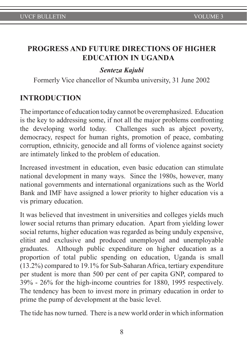# **PROGRESS AND FUTURE DIRECTIONS OF HIGHER EDUCATION IN UGANDA**

# *Senteza Kajubi*

Formerly Vice chancellor of Nkumba university, 31 June 2002

# **INTRODUCTION**

The importance of education today cannot be overemphasized. Education is the key to addressing some, if not all the major problems confronting the developing world today. Challenges such as abject poverty, democracy, respect for human rights, promotion of peace, combating corruption, ethnicity, genocide and all forms of violence against society are intimately linked to the problem of education.

Increased investment in education, even basic education can stimulate national development in many ways. Since the 1980s, however, many national governments and international organizations such as the World Bank and IMF have assigned a lower priority to higher education vis a vis primary education.

It was believed that investment in universities and colleges yields much lower social returns than primary education. Apart from yielding lower social returns, higher education was regarded as being unduly expensive, elitist and exclusive and produced unemployed and unemployable graduates. Although public expenditure on higher education as a proportion of total public spending on education, Uganda is small (13.2%) compared to 19.1% for Sub-Saharan Africa, tertiary expenditure per student is more than 500 per cent of per capita GNP, compared to 39% - 26% for the high-income countries for 1880, 1995 respectively. The tendency has been to invest more in primary education in order to prime the pump of development at the basic level.

The tide has now turned. There is a new world order in which information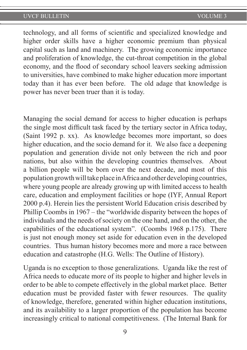technology, and all forms of scientific and specialized knowledge and higher order skills have a higher economic premium than physical capital such as land and machinery. The growing economic importance and proliferation of knowledge, the cut-throat competition in the global economy, and the flood of secondary school leavers seeking admission to universities, have combined to make higher education more important today than it has ever been before. The old adage that knowledge is power has never been truer than it is today.

Managing the social demand for access to higher education is perhaps the single most difficult task faced by the tertiary sector in Africa today, (Saint 1992 p. xx). As knowledge becomes more important, so does higher education, and the socio demand for it. We also face a deepening population and generation divide not only between the rich and poor nations, but also within the developing countries themselves. About a billion people will be born over the next decade, and most of this population growth will take place in Africa and other developing countries, where young people are already growing up with limited access to health care, education and employment facilities or hope (IYF, Annual Report 2000 p.4). Herein lies the persistent World Education crisis described by Phillip Coombs in 1967 – the "worldwide disparity between the hopes of individuals and the needs of society on the one hand, and on the other, the capabilities of the educational system". (Coombs 1968 p.175). There is just not enough money set aside for education even in the developed countries. Thus human history becomes more and more a race between education and catastrophe (H.G. Wells: The Outline of History).

Uganda is no exception to those generalizations. Uganda like the rest of Africa needs to educate more of its people to higher and higher levels in order to be able to compete effectively in the global market place. Better education must be provided faster with fewer resources. The quality of knowledge, therefore, generated within higher education institutions, and its availability to a larger proportion of the population has become increasingly critical to national competitiveness. (The Internal Bank for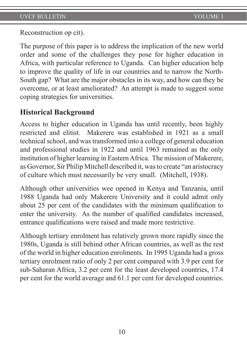Reconstruction op cit).

The purpose of this paper is to address the implication of the new world order and some of the challenges they pose for higher education in Africa, with particular reference to Uganda. Can higher education help to improve the quality of life in our countries and to narrow the North-South gap? What are the major obstacles in its way, and how can they be overcome, or at least ameliorated? An attempt is made to suggest some coping strategies for universities.

# **Historical Background**

Access to higher education in Uganda has until recently, been highly restricted and elitist. Makerere was established in 1921 as a small technical school, and was transformed into a college of general education and professional studies in 1922 and until 1963 remained as the only institution of higher learning in Eastern Africa. The mission of Makerere, as Governor, Sir Philip Mitchell described it, was to create "an aristocracy of culture which must necessarily be very small. (Mitchell, 1938).

Although other universities wee opened in Kenya and Tanzania, until 1988 Uganda had only Makerere University and it could admit only about 25 per cent of the candidates with the minimum qualification to enter the university. As the number of qualified candidates increased, entrance qualifications were raised and made more restrictive.

Although tertiary enrolment has relatively grown more rapidly since the 1980s, Uganda is still behind other African countries, as well as the rest of the world in higher education enrolments. In 1995 Uganda had a gross tertiary enrolment ratio of only 2 per cent compared with 3.9 per cent for sub-Saharan Africa, 3.2 per cent for the least developed countries, 17.4 per cent for the world average and 61.1 per cent for developed countries.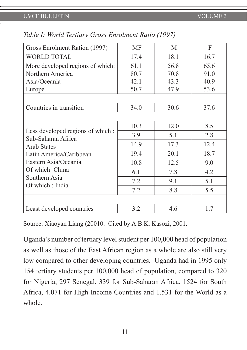| Gross Enrolment Ration (1997)                                                                                                                                                           | MF                   | M                    | F                    |
|-----------------------------------------------------------------------------------------------------------------------------------------------------------------------------------------|----------------------|----------------------|----------------------|
| <b>WORLD TOTAL</b>                                                                                                                                                                      | 17.4                 | 18.1                 | 16.7                 |
| More developed regions of which:                                                                                                                                                        | 61.1                 | 56.8                 | 65.6                 |
| Northern America<br>Asia/Oceania<br>Europe                                                                                                                                              | 80.7<br>42.1<br>50.7 | 70.8<br>43.3<br>47.9 | 91.0<br>40.9<br>53.6 |
|                                                                                                                                                                                         |                      |                      |                      |
| Countries in transition                                                                                                                                                                 | 34.0                 | 30.6                 | 37.6                 |
|                                                                                                                                                                                         |                      |                      |                      |
| Less developed regions of which :<br>Sub-Saharan Africa<br><b>Arab States</b><br>Latin America/Caribbean<br>Eastern Asia/Oceania<br>Of which: China<br>Southern Asia<br>Of which: India | 10.3                 | 12.0                 | 8.5                  |
|                                                                                                                                                                                         | 3.9                  | 5.1                  | 2.8                  |
|                                                                                                                                                                                         | 14.9                 | 17.3                 | 12.4                 |
|                                                                                                                                                                                         | 19.4                 | 20.1                 | 18.7                 |
|                                                                                                                                                                                         | 10.8                 | 12.5                 | 9.0                  |
|                                                                                                                                                                                         | 6.1                  | 7.8                  | 4.2                  |
|                                                                                                                                                                                         | 7.2                  | 9.1                  | 5.1                  |
|                                                                                                                                                                                         | 7.2                  | 8.8                  | 5.5                  |
|                                                                                                                                                                                         |                      |                      |                      |
| Least developed countries                                                                                                                                                               | 3.2                  | 4.6                  | 1.7                  |

*Table I: World Tertiary Gross Enrolment Ratio (1997)*

Source: Xiaoyan Liang (20010. Cited by A.B.K. Kasozi, 2001.

Uganda's number of tertiary level student per 100,000 head of population as well as those of the East African region as a whole are also still very low compared to other developing countries. Uganda had in 1995 only 154 tertiary students per 100,000 head of population, compared to 320 for Nigeria, 297 Senegal, 339 for Sub-Saharan Africa, 1524 for South Africa, 4.071 for High Income Countries and 1.531 for the World as a whole.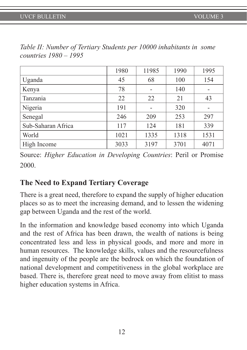|                    | 1980 | 11985 | 1990 | 1995 |
|--------------------|------|-------|------|------|
| Uganda             | 45   | 68    | 100  | 154  |
| Kenya              | 78   |       | 140  |      |
| Tanzania           | 22   | 22    | 21   | 43   |
| Nigeria            | 191  |       | 320  | -    |
| Senegal            | 246  | 209   | 253  | 297  |
| Sub-Saharan Africa | 117  | 124   | 181  | 339  |
| World              | 1021 | 1335  | 1318 | 1531 |
| High Income        | 3033 | 3197  | 3701 | 4071 |

*Table II: Number of Tertiary Students per 10000 inhabitants in some countries 1980 – 1995*

Source: *Higher Education in Developing Countries*: Peril or Promise 2000.

# **The Need to Expand Tertiary Coverage**

There is a great need, therefore to expand the supply of higher education places so as to meet the increasing demand, and to lessen the widening gap between Uganda and the rest of the world.

In the information and knowledge based economy into which Uganda and the rest of Africa has been drawn, the wealth of nations is being concentrated less and less in physical goods, and more and more in human resources. The knowledge skills, values and the resourcefulness and ingenuity of the people are the bedrock on which the foundation of national development and competitiveness in the global workplace are based. There is, therefore great need to move away from elitist to mass higher education systems in Africa.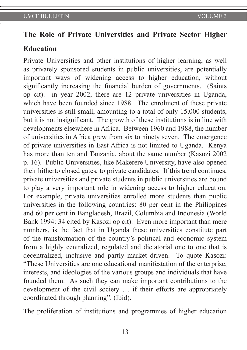# **The Role of Private Universities and Private Sector Higher**

### **Education**

Private Universities and other institutions of higher learning, as well as privately sponsored students in public universities, are potentially important ways of widening access to higher education, without significantly increasing the financial burden of governments. (Saints op cit). in year 2002, there are 12 private universities in Uganda, which have been founded since 1988. The enrolment of these private universities is still small, amounting to a total of only 15,000 students, but it is not insignificant. The growth of these institutions is in line with developments elsewhere in Africa. Between 1960 and 1988, the number of universities in Africa grew from six to ninety seven. The emergence of private universities in East Africa is not limited to Uganda. Kenya has more than ten and Tanzania, about the same number (Kasozi 2002 p. 16). Public Universities, like Makerere University, have also opened their hitherto closed gates, to private candidates. If this trend continues, private universities and private students in public universities are bound to play a very important role in widening access to higher education. For example, private universities enrolled more students than public universities in the following countries: 80 per cent in the Philippines and 60 per cent in Bangladesh, Brazil, Columbia and Indonesia (World Bank 1994: 34 cited by Kasozi op cit). Even more important than mere numbers, is the fact that in Uganda these universities constitute part of the transformation of the country's political and economic system from a highly centralized, regulated and dictatorial one to one that is decentralized, inclusive and partly market driven. To quote Kasozi: "These Universities are one educational manifestation of the enterprise, interests, and ideologies of the various groups and individuals that have founded them. As such they can make important contributions to the development of the civil society … if their efforts are appropriately coordinated through planning". (Ibid).

The proliferation of institutions and programmes of higher education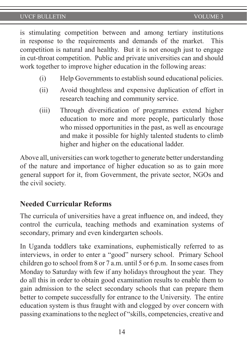is stimulating competition between and among tertiary institutions in response to the requirements and demands of the market. This competition is natural and healthy. But it is not enough just to engage in cut-throat competition. Public and private universities can and should work together to improve higher education in the following areas:

- (i) Help Governments to establish sound educational policies.
- (ii) Avoid thoughtless and expensive duplication of effort in research teaching and community service.
- (iii) Through diversification of programmes extend higher education to more and more people, particularly those who missed opportunities in the past, as well as encourage and make it possible for highly talented students to climb higher and higher on the educational ladder.

Above all, universities can work together to generate better understanding of the nature and importance of higher education so as to gain more general support for it, from Government, the private sector, NGOs and the civil society.

# **Needed Curricular Reforms**

The curricula of universities have a great influence on, and indeed, they control the curricula, teaching methods and examination systems of secondary, primary and even kindergarten schools.

In Uganda toddlers take examinations, euphemistically referred to as interviews, in order to enter a "good" nursery school. Primary School children go to school from 8 or 7 a.m. until 5 or 6 p.m. In some cases from Monday to Saturday with few if any holidays throughout the year. They do all this in order to obtain good examination results to enable them to gain admission to the select secondary schools that can prepare them better to compete successfully for entrance to the University. The entire education system is thus fraught with and clogged by over concern with passing examinations to the neglect of "skills, competencies, creative and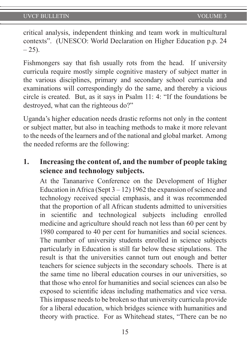critical analysis, independent thinking and team work in multicultural contexts". (UNESCO: World Declaration on Higher Education p.p. 24  $-25$ ).

Fishmongers say that fish usually rots from the head. If university curricula require mostly simple cognitive mastery of subject matter in the various disciplines, primary and secondary school curricula and examinations will correspondingly do the same, and thereby a vicious circle is created. But, as it says in Psalm 11: 4: "If the foundations be destroyed, what can the righteous do?"

Uganda's higher education needs drastic reforms not only in the content or subject matter, but also in teaching methods to make it more relevant to the needs of the learners and of the national and global market. Among the needed reforms are the following:

# **1. Increasing the content of, and the number of people taking science and technology subjects.**

At the Tananarive Conference on the Development of Higher Education in Africa (Sept  $3 - 12$ ) 1962 the expansion of science and technology received special emphasis, and it was recommended that the proportion of all African students admitted to universities in scientific and technological subjects including enrolled medicine and agriculture should reach not less than 60 per cent by 1980 compared to 40 per cent for humanities and social sciences. The number of university students enrolled in science subjects particularly in Education is still far below these stipulations. The result is that the universities cannot turn out enough and better teachers for science subjects in the secondary schools. There is at the same time no liberal education courses in our universities, so that those who enrol for humanities and social sciences can also be exposed to scientific ideas including mathematics and vice versa. This impasse needs to be broken so that university curricula provide for a liberal education, which bridges science with humanities and theory with practice. For as Whitehead states, "There can be no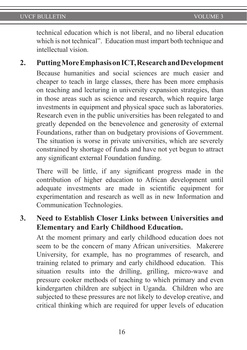technical education which is not liberal, and no liberal education which is not technical". Education must impart both technique and intellectual vision.

**2. Putting More Emphasis on ICT, Research and Development** Because humanities and social sciences are much easier and cheaper to teach in large classes, there has been more emphasis on teaching and lecturing in university expansion strategies, than in those areas such as science and research, which require large investments in equipment and physical space such as laboratories. Research even in the public universities has been relegated to and greatly depended on the benevolence and generosity of external Foundations, rather than on budgetary provisions of Government. The situation is worse in private universities, which are severely constrained by shortage of funds and have not yet begun to attract any significant external Foundation funding.

There will be little, if any significant progress made in the contribution of higher education to African development until adequate investments are made in scientific equipment for experimentation and research as well as in new Information and Communication Technologies.

**3. Need to Establish Closer Links between Universities and Elementary and Early Childhood Education.**

At the moment primary and early childhood education does not seem to be the concern of many African universities. Makerere University, for example, has no programmes of research, and training related to primary and early childhood education. This situation results into the drilling, grilling, micro-wave and pressure cooker methods of teaching to which primary and even kindergarten children are subject in Uganda. Children who are subjected to these pressures are not likely to develop creative, and critical thinking which are required for upper levels of education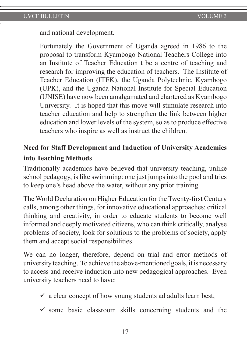and national development.

Fortunately the Government of Uganda agreed in 1986 to the proposal to transform Kyambogo National Teachers College into an Institute of Teacher Education t be a centre of teaching and research for improving the education of teachers. The Institute of Teacher Education (ITEK), the Uganda Polytechnic, Kyambogo (UPK), and the Uganda National Institute for Special Education (UNISE) have now been amalgamated and chartered as Kyambogo University. It is hoped that this move will stimulate research into teacher education and help to strengthen the link between higher education and lower levels of the system, so as to produce effective teachers who inspire as well as instruct the children.

# **Need for Staff Development and Induction of University Academics into Teaching Methods**

Traditionally academics have believed that university teaching, unlike school pedagogy, is like swimming: one just jumps into the pool and tries to keep one's head above the water, without any prior training.

The World Declaration on Higher Education for the Twenty-first Century calls, among other things, for innovative educational approaches: critical thinking and creativity, in order to educate students to become well informed and deeply motivated citizens, who can think critically, analyse problems of society, look for solutions to the problems of society, apply them and accept social responsibilities.

We can no longer, therefore, depend on trial and error methods of university teaching. To achieve the above-mentioned goals, it is necessary to access and receive induction into new pedagogical approaches. Even university teachers need to have:

- $\checkmark$  a clear concept of how young students ad adults learn best;
- $\checkmark$  some basic classroom skills concerning students and the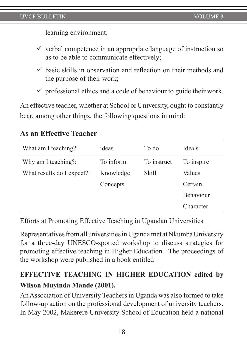learning environment;

- $\checkmark$  verbal competence in an appropriate language of instruction so as to be able to communicate effectively;
- $\checkmark$  basic skills in observation and reflection on their methods and the purpose of their work;
- $\checkmark$  professional ethics and a code of behaviour to guide their work.

An effective teacher, whether at School or University, ought to constantly bear, among other things, the following questions in mind:

# **As an Effective Teacher**

| What am I teaching?:       | ideas     | To do       | Ideals           |
|----------------------------|-----------|-------------|------------------|
| Why am I teaching?:        | To inform | To instruct | To inspire       |
| What results do I expect?: | Knowledge | Skill       | Values           |
|                            | Concepts  |             | Certain          |
|                            |           |             | <b>Behaviour</b> |
|                            |           |             | Character        |

Efforts at Promoting Effective Teaching in Ugandan Universities

Representatives from all universities in Uganda met at Nkumba University for a three-day UNESCO-sported workshop to discuss strategies for promoting effective teaching in Higher Education. The proceedings of the workshop were published in a book entitled

# **EFFECTIVE TEACHING IN HIGHER EDUCATION edited by Wilson Muyinda Mande (2001).**

An Association of University Teachers in Uganda was also formed to take follow-up action on the professional development of university teachers. In May 2002, Makerere University School of Education held a national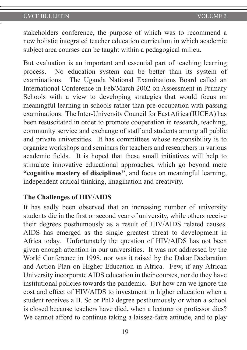stakeholders conference, the purpose of which was to recommend a new holistic integrated teacher education curriculum in which academic subject area courses can be taught within a pedagogical milieu.

But evaluation is an important and essential part of teaching learning process. No education system can be better than its system of examinations. The Uganda National Examinations Board called an International Conference in Feb/March 2002 on Assessment in Primary Schools with a view to developing strategies that would focus on meaningful learning in schools rather than pre-occupation with passing examinations. The Inter-University Council for East Africa (IUCEA) has been resuscitated in order to promote cooperation in research, teaching, community service and exchange of staff and students among all public and private universities. It has committees whose responsibility is to organize workshops and seminars for teachers and researchers in various academic fields. It is hoped that these small initiatives will help to stimulate innovative educational approaches, which go beyond mere **"cognitive mastery of disciplines"**, and focus on meaningful learning, independent critical thinking, imagination and creativity.

# **The Challenges of HIV/AIDS**

It has sadly been observed that an increasing number of university students die in the first or second year of university, while others receive their degrees posthumously as a result of HIV/AIDS related causes. AIDS has emerged as the single greatest threat to development in Africa today. Unfortunately the question of HIV/AIDS has not been given enough attention in our universities. It was not addressed by the World Conference in 1998, nor was it raised by the Dakar Declaration and Action Plan on Higher Education in Africa. Few, if any African University incorporate AIDS education in their courses, nor do they have institutional policies towards the pandemic. But how can we ignore the cost and effect of HIV/AIDS to investment in higher education when a student receives a B. Sc or PhD degree posthumously or when a school is closed because teachers have died, when a lecturer or professor dies? We cannot afford to continue taking a laissez-faire attitude, and to play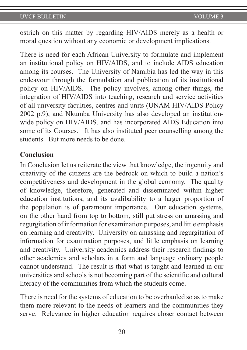ostrich on this matter by regarding HIV/AIDS merely as a health or moral question without any economic or development implications.

There is need for each African University to formulate and implement an institutional policy on HIV/AIDS, and to include AIDS education among its courses. The University of Namibia has led the way in this endeavour through the formulation and publication of its institutional policy on HIV/AIDS. The policy involves, among other things, the integration of HIV/AIDS into teaching, research and service activities of all university faculties, centres and units (UNAM HIV/AIDS Policy 2002 p.9), and Nkumba University has also developed an institutionwide policy on HIV/AIDS, and has incorporated AIDS Education into some of its Courses. It has also instituted peer counselling among the students. But more needs to be done.

### **Conclusion**

In Conclusion let us reiterate the view that knowledge, the ingenuity and creativity of the citizens are the bedrock on which to build a nation's competitiveness and development in the global economy. The quality of knowledge, therefore, generated and disseminated within higher education institutions, and its avalibability to a larger proportion of the population is of paramount importance. Our education systems, on the other hand from top to bottom, still put stress on amassing and regurgitation of information for examination purposes, and little emphasis on learning and creativity. University on amassing and regurgitation of information for examination purposes, and little emphasis on learning and creativity. University academics address their research findings to other academics and scholars in a form and language ordinary people cannot understand. The result is that what is taught and learned in our universities and schools is not becoming part of the scientific and cultural literacy of the communities from which the students come.

There is need for the systems of education to be overhauled so as to make them more relevant to the needs of learners and the communities they serve. Relevance in higher education requires closer contact between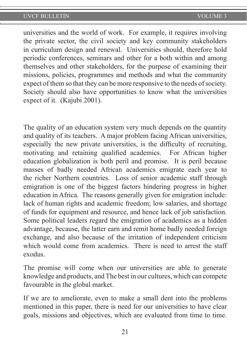universities and the world of work. For example, it requires involving the private sector, the civil society and key community stakeholders in curriculum design and renewal. Universities should, therefore hold periodic conferences, seminars and other for a both within and among themselves and other stakeholders, for the purpose of examining their missions, policies, programmes and methods and what the community expect of them so that they can be more responsive to the needs of society. Society should also have opportunities to know what the universities expect of it. (Kajubi 2001).

The quality of an education system very much depends on the quantity and quality of its teachers. A major problem facing African universities, especially the new private universities, is the difficulty of recruiting, motivating and retaining qualified academics. For African higher education globalization is both peril and promise. It is peril because masses of badly needed African academics emigrate each year to the richer Northern countries. Loss of senior academic staff through emigration is one of the biggest factors hindering progress in higher education in Africa. The reasons generally given for emigration include: lack of human rights and academic freedom; low salaries, and shortage of funds for equipment and resource, and hence lack of job satisfaction. Some political leaders regard the emigration of academics as a hidden advantage, because, the latter earn and remit home badly needed foreign exchange, and also because of the irritation of independent criticism which would come from academics. There is need to arrest the staff exodus.

The promise will come when our universities are able to generate knowledge and products, and The best in our cultures, which can compete favourable in the global market.

If we are to ameliorate, even to make a small dent into the problems mentioned in this paper, there is need for our universities to have clear goals, missions and objectives, which are evaluated from time to time.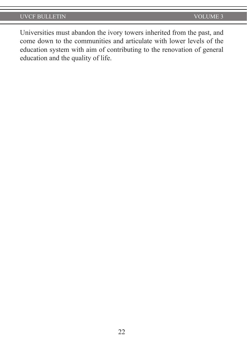Universities must abandon the ivory towers inherited from the past, and come down to the communities and articulate with lower levels of the education system with aim of contributing to the renovation of general education and the quality of life.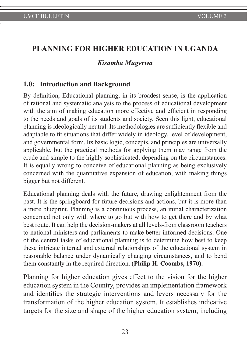# **PLANNING FOR HIGHER EDUCATION IN UGANDA**

#### *Kisamba Mugerwa*

#### **1.0: Introduction and Background**

By definition, Educational planning, in its broadest sense, is the application of rational and systematic analysis to the process of educational development with the aim of making education more effective and efficient in responding to the needs and goals of its students and society. Seen this light, educational planning is ideologically neutral. Its methodologies are sufficiently flexible and adaptable to fit situations that differ widely in ideology, level of development, and governmental form. Its basic logic, concepts, and principles are universally applicable, but the practical methods for applying them may range from the crude and simple to the highly sophisticated, depending on the circumstances. It is equally wrong to conceive of educational planning as being exclusively concerned with the quantitative expansion of education, with making things bigger but not different.

Educational planning deals with the future, drawing enlightenment from the past. It is the springboard for future decisions and actions, but it is more than a mere blueprint. Planning is a continuous process, an initial characterization concerned not only with where to go but with how to get there and by what best route. It can help the decision-makers at all levels-from classroom teachers to national ministers and parliaments-to make better-informed decisions. One of the central tasks of educational planning is to determine how best to keep these intricate internal and external relationships of the educational system in reasonable balance under dynamically changing circumstances, and to bend them constantly in the required direction. (**Philip H. Coombs, 1970).**

Planning for higher education gives effect to the vision for the higher education system in the Country, provides an implementation framework and identifies the strategic interventions and levers necessary for the transformation of the higher education system. It establishes indicative targets for the size and shape of the higher education system, including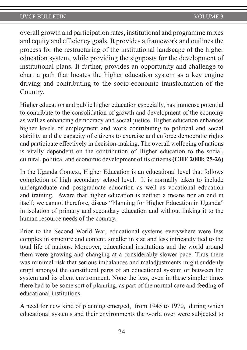overall growth and participation rates, institutional and programme mixes and equity and efficiency goals. It provides a framework and outlines the process for the restructuring of the institutional landscape of the higher education system, while providing the signposts for the development of institutional plans. It further, provides an opportunity and challenge to chart a path that locates the higher education system as a key engine driving and contributing to the socio-economic transformation of the Country.

Higher education and public higher education especially, has immense potential to contribute to the consolidation of growth and development of the economy as well as enhancing democracy and social justice. Higher education enhances higher levels of employment and work contributing to political and social stability and the capacity of citizens to exercise and enforce democratic rights and participate effectively in decision-making. The overall wellbeing of nations is vitally dependent on the contribution of Higher education to the social, cultural, political and economic development of its citizens **(CHE 2000: 25-26)** 

In the Uganda Context, Higher Education is an educational level that follows completion of high secondary school level. It is normally taken to include undergraduate and postgraduate education as well as vocational education and training. Aware that higher education is neither a means nor an end in itself; we cannot therefore, discus "Planning for Higher Education in Uganda" in isolation of primary and secondary education and without linking it to the human resource needs of the country.

Prior to the Second World War, educational systems everywhere were less complex in structure and content, smaller in size and less intricately tied to the total life of nations. Moreover, educational institutions and the world around them were growing and changing at a considerably slower pace. Thus there was minimal risk that serious imbalances and maladjustments might suddenly erupt amongst the constituent parts of an educational system or between the system and its client environment. None the less, even in these simpler times there had to be some sort of planning, as part of the normal care and feeding of educational institutions.

A need for new kind of planning emerged, from 1945 to 1970, during which educational systems and their environments the world over were subjected to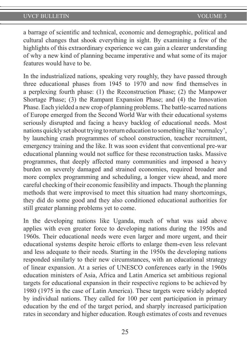a barrage of scientific and technical, economic and demographic, political and cultural changes that shook everything in sight. By examining a few of the highlights of this extraordinary experience we can gain a clearer understanding of why a new kind of planning became imperative and what some of its major features would have to be.

In the industrialized nations, speaking very roughly, they have passed through three educational phases from 1945 to 1970 and now find themselves in a perplexing fourth phase: (1) the Reconstruction Phase; (2) the Manpower Shortage Phase; (3) the Rampant Expansion Phase; and (4) the Innovation Phase. Each yielded a new crop of planning problems. The battle-scarred nations of Europe emerged from the Second World War with their educational systems seriously disrupted and facing a heavy backlog of educational needs. Most nations quickly set about trying to return education to something like 'normalcy', by launching crash programmes of school construction, teacher recruitment, emergency training and the like. It was soon evident that conventional pre-war educational planning would not suffice for these reconstruction tasks. Massive programmes, that deeply affected many communities and imposed a heavy burden on severely damaged and strained economies, required broader and more complex programming and scheduling, a longer view ahead, and more careful checking of their economic feasibility and impacts. Though the planning methods that were improvised to meet this situation had many shortcomings, they did do some good and they also conditioned educational authorities for still greater planning problems yet to come.

In the developing nations like Uganda, much of what was said above applies with even greater force to developing nations during the 1950s and 1960s. Their educational needs were even larger and more urgent, and their educational systems despite heroic efforts to enlarge them-even less relevant and less adequate to their needs. Starting in the 1950s the developing nations responded similarly to their new circumstances, with an educational strategy of linear expansion. At a series of UNESCO conferences early in the 1960s education ministers of Asia, Africa and Latin America set ambitious regional targets for educational expansion in their respective regions to be achieved by 1980 (1975 in the case of Latin America). These targets were widely adopted by individual nations. They called for 100 per cent participation in primary education by the end of the target period, and sharply increased participation rates in secondary and higher education. Rough estimates of costs and revenues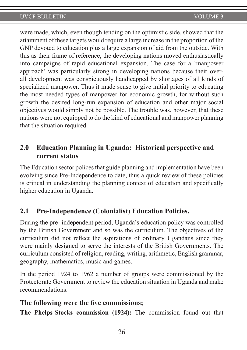were made, which, even though tending on the optimistic side, showed that the attainment of these targets would require a large increase in the proportion of the GNP devoted to education plus a large expansion of aid from the outside. With this as their frame of reference, the developing nations moved enthusiastically into campaigns of rapid educational expansion. The case for a 'manpower approach' was particularly strong in developing nations because their overall development was conspicuously handicapped by shortages of all kinds of specialized manpower. Thus it made sense to give initial priority to educating the most needed types of manpower for economic growth, for without such growth the desired long-run expansion of education and other major social objectives would simply not be possible. The trouble was, however, that these nations were not equipped to do the kind of educational and manpower planning that the situation required.

# **2.0 Education Planning in Uganda: Historical perspective and current status**

The Education sector polices that guide planning and implementation have been evolving since Pre-Independence to date, thus a quick review of these policies is critical in understanding the planning context of education and specifically higher education in Uganda.

# **2.1 Pre-Independence (Colonialist) Education Policies.**

During the pre- independent period, Uganda's education policy was controlled by the British Government and so was the curriculum. The objectives of the curriculum did not reflect the aspirations of ordinary Ugandans since they were mainly designed to serve the interests of the British Governments. The curriculum consisted of religion, reading, writing, arithmetic, English grammar, geography, mathematics, music and games.

In the period 1924 to 1962 a number of groups were commissioned by the Protectorate Government to review the education situation in Uganda and make recommendations.

#### **The following were the five commissions;**

**The Phelps-Stocks commission (1924):** The commission found out that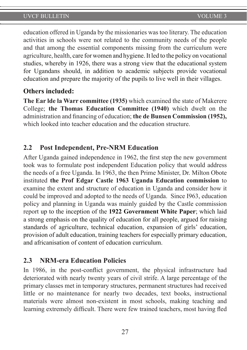education offered in Uganda by the missionaries was too literary. The education activities in schools were not related to the community needs of the people and that among the essential components missing from the curriculum were agriculture, health, care for women and hygiene. It led to the policy on vocational studies, whereby in 1926, there was a strong view that the educational system for Ugandans should, in addition to academic subjects provide vocational education and prepare the majority of the pupils to live well in their villages.

#### **Others included:**

**The Ear lde la Warr committee (1935)** which examined the state of Makerere College; **the Thomas Education Committee (1940)** which dwelt on the administration and financing of education; **the de Bunsen Commission (1952),**  which looked into teacher education and the education structure.

### **2.2 Post Independent, Pre-NRM Education**

After Uganda gained independence in 1962, the first step the new government took was to formulate post independent Education policy that would address the needs of a free Uganda. In 1963, the then Prime Minister, Dr. Milton Obote instituted **the Prof Edgar Castle 1963 Uganda Education commission** to examine the extent and structure of education in Uganda and consider how it could be improved and adopted to the needs of Uganda. Since I963, education policy and planning in Uganda was mainly guided by the Castle commission report up to the inception of the **1922 Government White Paper**; which laid a strong emphasis on the quality of education for all people, argued for raising standards of agriculture, technical education, expansion of girls' education, provision of adult education, training teachers for especially primary education, and africanisation of content of education curriculum.

### **2.3 NRM-era Education Policies**

In 1986, in the post-conflict government, the physical infrastructure had deteriorated with nearly twenty years of civil strife. A large percentage of the primary classes met in temporary structures, permanent structures had received little or no maintenance for nearly two decades, text books, instructional materials were almost non-existent in most schools, making teaching and learning extremely difficult. There were few trained teachers, most having fled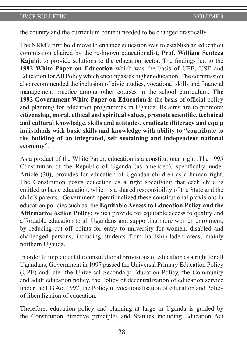the country and the curriculum content needed to be changed drastically.

The NRM's first bold move to enhance education was to establish an education commission chaired by the re-known educationalist, **Prof. William Senteza Kajubi**, to provide solutions to the education sector. The findings led to the **1992 White Paper on Education** which was the basis of UPE, USE and Education for All Policy which encompasses higher education. The commission also recommended the inclusion of civic studies, vocational skills and financial management practice among other courses in the school curriculum. **The 1992 Government White Paper on Education i**s the basis of official policy and planning for education programmes in Uganda. Its aims are to promote; **citizenship, moral, ethical and spiritual values, promote scientific, technical and cultural knowledge, skills and attitudes, eradicate illiteracy and equip individuals with basic skills and knowledge with ability to "contribute to the building of an integrated, self sustaining and independent national economy**".

As a product of the White Paper, education is a constitutional right .The 1995 Constitution of the Republic of Uganda (as amended), specifically under Article (30), provides for education of Ugandan children as a human right. The Constitution posits education as a right specifying that each child is entitled to basic education, which is a shared responsibility of the State and the child's parents. Government operationalized these constitutional provisions in education policies such as; the **Equitable Access to Education Policy and the Affirmative Action Policy;** which provide for equitable access to quality and affordable education to all Ugandans and supporting more women enrolment, by reducing cut off points for entry to university for women, disabled and challenged persons, including students from hardship-laden areas, mainly northern Uganda.

In order to implement the constitutional provisions of education as a right for all Ugandans, Government in 1997 passed the Universal Primary Education Policy (UPE) and later the Universal Secondary Education Policy, the Community and adult education policy, the Policy of decentralization of education service under the LG Act 1997, the Policy of vocationalisation of education and Policy of liberalization of education.

Therefore, education policy and planning at large in Uganda is guided by the Constitution directive principles and Statutes including Education Act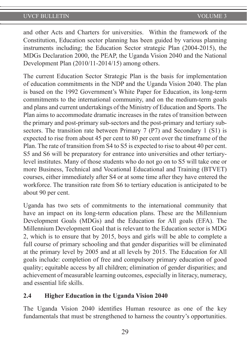and other Acts and Charters for universities. Within the framework of the Constitution, Education sector planning has been guided by various planning instruments including; the Education Sector strategic Plan (2004-2015), the MDGs Declaration 2000, the PEAP, the Uganda Vision 2040 and the National Development Plan (2010/11-2014/15) among others.

The current Education Sector Strategic Plan is the basis for implementation of education commitments in the NDP and the Uganda Vision 2040. The plan is based on the 1992 Government's White Paper for Education, its long-term commitments to the international community, and on the medium-term goals and plans and current undertakings of the Ministry of Education and Sports. The Plan aims to accommodate dramatic increases in the rates of transition between the primary and post-primary sub-sectors and the post-primary and tertiary subsectors. The transition rate between Primary 7 (P7) and Secondary 1 (S1) is expected to rise from about 45 per cent to 80 per cent over the timeframe of the Plan. The rate of transition from S4 to S5 is expected to rise to about 40 per cent. S5 and S6 will be preparatory for entrance into universities and other tertiarylevel institutes. Many of those students who do not go on to S5 will take one or more Business, Technical and Vocational Educational and Training (BTVET) courses, either immediately after S4 or at some time after they have entered the workforce. The transition rate from S6 to tertiary education is anticipated to be about 90 per cent.

Uganda has two sets of commitments to the international community that have an impact on its long-term education plans. These are the Millennium Development Goals (MDGs) and the Education for All goals (EFA). The Millennium Development Goal that is relevant to the Education sector is MDG 2, which is to ensure that by 2015, boys and girls will be able to complete a full course of primary schooling and that gender disparities will be eliminated at the primary level by 2005 and at all levels by 2015. The Education for All goals include: completion of free and compulsory primary education of good quality; equitable access by all children; elimination of gender disparities; and achievement of measurable learning outcomes, especially in literacy, numeracy, and essential life skills.

#### **2.4 Higher Education in the Uganda Vision 2040**

The Uganda Vision 2040 identifies Human resource as one of the key fundamentals that must be strengthened to harness the country's opportunities.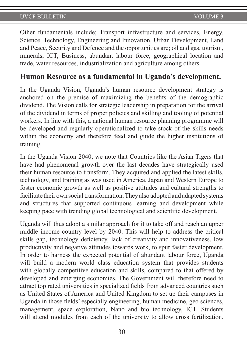Other fundamentals include; Transport infrastructure and services, Energy, Science, Technology, Engineering and Innovation, Urban Development, Land and Peace, Security and Defence and the opportunities are; oil and gas, tourism, minerals, ICT, Business, abundant labour force, geographical location and trade, water resources, industrialization and agriculture among others.

# **Human Resource as a fundamental in Uganda's development.**

In the Uganda Vision, Uganda's human resource development strategy is anchored on the premise of maximizing the benefits of the demographic dividend. The Vision calls for strategic leadership in preparation for the arrival of the dividend in terms of proper policies and skilling and tooling of potential workers. In line with this, a national human resource planning programme will be developed and regularly operationalized to take stock of the skills needs within the economy and therefore feed and guide the higher institutions of training.

In the Uganda Vision 2040, we note that Countries like the Asian Tigers that have had phenomenal growth over the last decades have strategically used their human resource to transform. They acquired and applied the latest skills, technology, and training as was used in America, Japan and Western Europe to foster economic growth as well as positive attitudes and cultural strengths to facilitate their own social transformation. They also adopted and adapted systems and structures that supported continuous learning and development while keeping pace with trending global technological and scientific development.

Uganda will thus adopt a similar approach for it to take off and reach an upper middle income country level by 2040. This will help to address the critical skills gap, technology deficiency, lack of creativity and innovativeness, low productivity and negative attitudes towards work, to spur faster development. In order to harness the expected potential of abundant labour force, Uganda will build a modern world class education system that provides students with globally competitive education and skills, compared to that offered by developed and emerging economies. The Government will therefore need to attract top rated universities in specialized fields from advanced countries such as United States of America and United Kingdom to set up their campuses in Uganda in those fields' especially engineering, human medicine, geo sciences, management, space exploration, Nano and bio technology, ICT. Students will attend modules from each of the university to allow cross fertilization.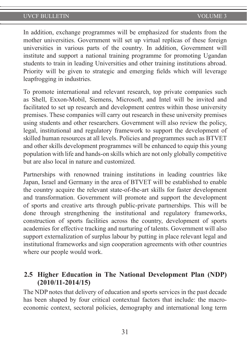In addition, exchange programmes will be emphasized for students from the mother universities. Government will set up virtual replicas of these foreign universities in various parts of the country. In addition, Government will institute and support a national training programme for promoting Ugandan students to train in leading Universities and other training institutions abroad. Priority will be given to strategic and emerging fields which will leverage leapfrogging in industries.

To promote international and relevant research, top private companies such as Shell, Exxon-Mobil, Siemens, Microsoft, and Intel will be invited and facilitated to set up research and development centres within those university premises. These companies will carry out research in these university premises using students and other researchers. Government will also review the policy, legal, institutional and regulatory framework to support the development of skilled human resources at all levels. Policies and programmes such as BTVET and other skills development programmes will be enhanced to equip this young population with life and hands-on skills which are not only globally competitive but are also local in nature and customized.

Partnerships with renowned training institutions in leading countries like Japan, Israel and Germany in the area of BTVET will be established to enable the country acquire the relevant state-of-the-art skills for faster development and transformation. Government will promote and support the development of sports and creative arts through public-private partnerships. This will be done through strengthening the institutional and regulatory frameworks, construction of sports facilities across the country, development of sports academies for effective tracking and nurturing of talents. Government will also support externalization of surplus labour by putting in place relevant legal and institutional frameworks and sign cooperation agreements with other countries where our people would work.

## **2.5 Higher Education in The National Development Plan (NDP) (2010/11-2014/15)**

The NDP notes that delivery of education and sports services in the past decade has been shaped by four critical contextual factors that include: the macroeconomic context, sectoral policies, demography and international long term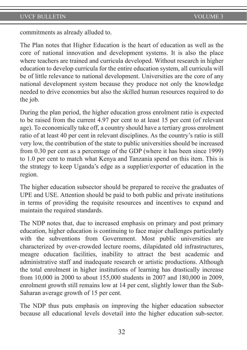commitments as already alluded to.

The Plan notes that Higher Education is the heart of education as well as the core of national innovation and development systems. It is also the place where teachers are trained and curricula developed. Without research in higher education to develop curricula for the entire education system, all curricula will be of little relevance to national development. Universities are the core of any national development system because they produce not only the knowledge needed to drive economies but also the skilled human resources required to do the job.

During the plan period, the higher education gross enrolment ratio is expected to be raised from the current 4.97 per cent to at least 15 per cent (of relevant age). To economically take off, a country should have a tertiary gross enrolment ratio of at least 40 per cent in relevant disciplines. As the country's ratio is still very low, the contribution of the state to public universities should be increased from 0.30 per cent as a percentage of the GDP (where it has been since 1999) to 1.0 per cent to match what Kenya and Tanzania spend on this item. This is the strategy to keep Uganda's edge as a supplier/exporter of education in the region.

The higher education subsector should be prepared to receive the graduates of UPE and USE. Attention should be paid to both public and private institutions in terms of providing the requisite resources and incentives to expand and maintain the required standards.

The NDP notes that, due to increased emphasis on primary and post primary education, higher education is continuing to face major challenges particularly with the subventions from Government. Most public universities are characterized by over-crowded lecture rooms, dilapidated old infrastructures, meagre education facilities, inability to attract the best academic and administrative staff and inadequate research or artistic productions. Although the total enrolment in higher institutions of learning has drastically increase from 10,000 in 2000 to about 155,000 students in 2007 and 180,000 in 2009, enrolment growth still remains low at 14 per cent, slightly lower than the Sub-Saharan average growth of 15 per cent.

The NDP thus puts emphasis on improving the higher education subsector because all educational levels dovetail into the higher education sub-sector.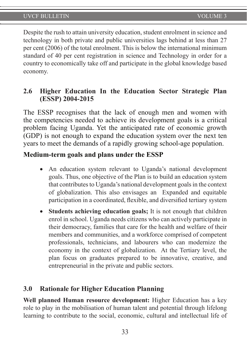Despite the rush to attain university education, student enrolment in science and technology in both private and public universities lags behind at less than 27 per cent (2006) of the total enrolment. This is below the international minimum standard of 40 per cent registration in science and Technology in order for a country to economically take off and participate in the global knowledge based economy.

## **2.6 Higher Education In the Education Sector Strategic Plan (ESSP) 2004-2015**

The ESSP recognises that the lack of enough men and women with the competencies needed to achieve its development goals is a critical problem facing Uganda. Yet the anticipated rate of economic growth (GDP) is not enough to expand the education system over the next ten years to meet the demands of a rapidly growing school-age population.

### **Medium-term goals and plans under the ESSP**

- An education system relevant to Uganda's national development goals. Thus, one objective of the Plan is to build an education system that contributes to Uganda's national development goals in the context of globalization. This also envisages an Expanded and equitable participation in a coordinated, flexible, and diversified tertiary system
- **Students achieving education goals;** It is not enough that children enrol in school. Uganda needs citizens who can actively participate in their democracy, families that care for the health and welfare of their members and communities, and a workforce comprised of competent professionals, technicians, and labourers who can modernize the economy in the context of globalization. At the Tertiary level, the plan focus on graduates prepared to be innovative, creative, and entrepreneurial in the private and public sectors.

### **3.0 Rationale for Higher Education Planning**

**Well planned Human resource development:** Higher Education has a key role to play in the mobilisation of human talent and potential through lifelong learning to contribute to the social, economic, cultural and intellectual life of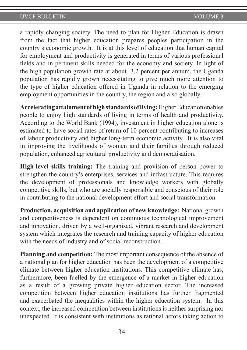a rapidly changing society. The need to plan for Higher Education is drawn from the fact that higher education prepares peoples participation in the country's economic growth. It is at this level of education that human capital for employment and productivity is generated in terms of various professional fields and in pertinent skills needed for the economy and society. In light of the high population growth rate at about 3.2 percent per annum, the Uganda population has rapidly grown necessitating to give much more attention to the type of higher education offered in Uganda in relation to the emerging employment opportunities in the country, the region and also globally.

**Accelerating attainment of high standards of living:** Higher Education enables people to enjoy high standards of living in terms of health and productivity. According to the World Bank (1994), investment in higher education alone is estimated to have social rates of return of 10 percent contributing to increases of labour productivity and higher long-term economic activity. It is also vital in improving the livelihoods of women and their families through reduced population, enhanced agricultural productivity and democratisation.

**High-level skills training:** The training and provision of person power to strengthen the country's enterprises, services and infrastructure. This requires the development of professionals and knowledge workers with globally competitive skills, but who are socially responsible and conscious of their role in contributing to the national development effort and social transformation.

**Production, acquisition and application of new knowledge:** National growth and competitiveness is dependent on continuous technological improvement and innovation, driven by a well-organised, vibrant research and development system which integrates the research and training capacity of higher education with the needs of industry and of social reconstruction.

**Planning and competition:** The most important consequence of the absence of a national plan for higher education has been the development of a competitive climate between higher education institutions. This competitive climate has, furthermore, been fuelled by the emergence of a market in higher education as a result of a growing private higher education sector. The increased competition between higher education institutions has further fragmented and exacerbated the inequalities within the higher education system. In this context, the increased competition between institutions is neither surprising nor unexpected. It is consistent with institutions as rational actors taking action to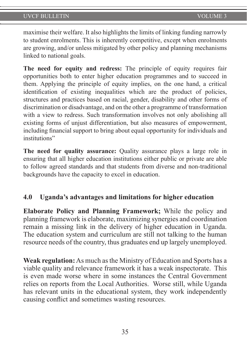maximise their welfare. It also highlights the limits of linking funding narrowly to student enrolments. This is inherently competitive, except when enrolments are growing, and/or unless mitigated by other policy and planning mechanisms linked to national goals.

**The need for equity and redress:** The principle of equity requires fair opportunities both to enter higher education programmes and to succeed in them. Applying the principle of equity implies, on the one hand, a critical identification of existing inequalities which are the product of policies, structures and practices based on racial, gender, disability and other forms of discrimination or disadvantage, and on the other a programme of transformation with a view to redress. Such transformation involves not only abolishing all existing forms of unjust differentiation, but also measures of empowerment, including financial support to bring about equal opportunity for individuals and institutions"

**The need for quality assurance:** Quality assurance plays a large role in ensuring that all higher education institutions either public or private are able to follow agreed standards and that students from diverse and non-traditional backgrounds have the capacity to excel in education.

## **4.0 Uganda's advantages and limitations for higher education**

**Elaborate Policy and Planning Framework;** While the policy and planning framework is elaborate, maximizing synergies and coordination remain a missing link in the delivery of higher education in Uganda. The education system and curriculum are still not talking to the human resource needs of the country, thus graduates end up largely unemployed.

**Weak regulation:** As much as the Ministry of Education and Sports has a viable quality and relevance framework it has a weak inspectorate. This is even made worse where in some instances the Central Government relies on reports from the Local Authorities. Worse still, while Uganda has relevant units in the educational system, they work independently causing conflict and sometimes wasting resources.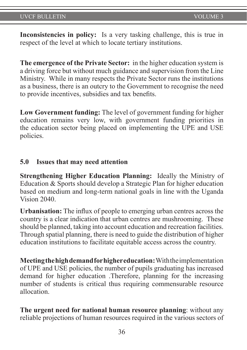**Inconsistencies in policy:** Is a very tasking challenge, this is true in respect of the level at which to locate tertiary institutions.

**The emergence of the Private Sector:** in the higher education system is a driving force but without much guidance and supervision from the Line Ministry. While in many respects the Private Sector runs the institutions as a business, there is an outcry to the Government to recognise the need to provide incentives, subsidies and tax benefits.

**Low Government funding:** The level of government funding for higher education remains very low, with government funding priorities in the education sector being placed on implementing the UPE and USE policies.

### **5.0 Issues that may need attention**

**Strengthening Higher Education Planning:** Ideally the Ministry of Education & Sports should develop a Strategic Plan for higher education based on medium and long-term national goals in line with the Uganda Vision 2040.

**Urbanisation:** The influx of people to emerging urban centres across the country is a clear indication that urban centres are mushrooming. These should be planned, taking into account education and recreation facilities. Through spatial planning, there is need to guide the distribution of higher education institutions to facilitate equitable access across the country.

**Meeting the high demand for higher education:** With the implementation of UPE and USE policies, the number of pupils graduating has increased demand for higher education .Therefore, planning for the increasing number of students is critical thus requiring commensurable resource allocation.

**The urgent need for national human resource planning**: without any reliable projections of human resources required in the various sectors of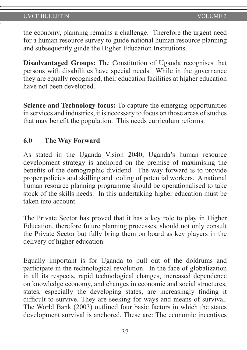the economy, planning remains a challenge. Therefore the urgent need for a human resource survey to guide national human resource planning and subsequently guide the Higher Education Institutions.

**Disadvantaged Groups:** The Constitution of Uganda recognises that persons with disabilities have special needs. While in the governance they are equally recognised, their education facilities at higher education have not been developed.

**Science and Technology focus:** To capture the emerging opportunities in services and industries, it is necessary to focus on those areas of studies that may benefit the population. This needs curriculum reforms.

### **6.0 The Way Forward**

As stated in the Uganda Vision 2040, Uganda's human resource development strategy is anchored on the premise of maximising the benefits of the demographic dividend. The way forward is to provide proper policies and skilling and tooling of potential workers. A national human resource planning programme should be operationalised to take stock of the skills needs. In this undertaking higher education must be taken into account.

The Private Sector has proved that it has a key role to play in Higher Education, therefore future planning processes, should not only consult the Private Sector but fully bring them on board as key players in the delivery of higher education.

Equally important is for Uganda to pull out of the doldrums and participate in the technological revolution. In the face of globalization in all its respects, rapid technological changes, increased dependence on knowledge economy, and changes in economic and social structures, states, especially the developing states, are increasingly finding it difficult to survive. They are seeking for ways and means of survival. The World Bank (2003) outlined four basic factors in which the states development survival is anchored. These are: The economic incentives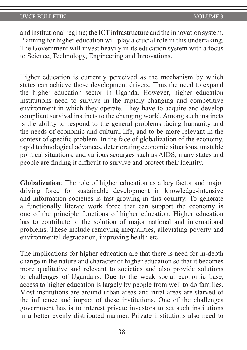and institutional regime; the ICT infrastructure and the innovation system. Planning for higher education will play a crucial role in this undertaking. The Government will invest heavily in its education system with a focus to Science, Technology, Engineering and Innovations.

Higher education is currently perceived as the mechanism by which states can achieve those development drivers. Thus the need to expand the higher education sector in Uganda. However, higher education institutions need to survive in the rapidly changing and competitive environment in which they operate. They have to acquire and develop compliant survival instincts to the changing world. Among such instincts is the ability to respond to the general problems facing humanity and the needs of economic and cultural life, and to be more relevant in the context of specific problem. In the face of globalization of the economy, rapid technological advances, deteriorating economic situations, unstable political situations, and various scourges such as AIDS, many states and people are finding it difficult to survive and protect their identity.

**Globalization**: The role of higher education as a key factor and major driving force for sustainable development in knowledge-intensive and information societies is fast growing in this country. To generate a functionally literate work force that can support the economy is one of the principle functions of higher education. Higher education has to contribute to the solution of major national and international problems. These include removing inequalities, alleviating poverty and environmental degradation, improving health etc.

The implications for higher education are that there is need for in-depth change in the nature and character of higher education so that it becomes more qualitative and relevant to societies and also provide solutions to challenges of Ugandans. Due to the weak social economic base, access to higher education is largely by people from well to do families. Most institutions are around urban areas and rural areas are starved of the influence and impact of these institutions. One of the challenges government has is to interest private investors to set such institutions in a better evenly distributed manner. Private institutions also need to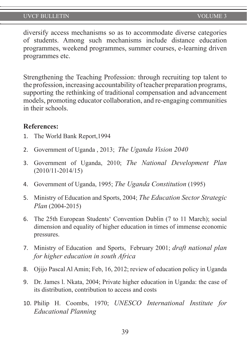diversify access mechanisms so as to accommodate diverse categories of students. Among such mechanisms include distance education programmes, weekend programmes, summer courses, e-learning driven programmes etc.

Strengthening the Teaching Profession: through recruiting top talent to the profession, increasing accountability of teacher preparation programs, supporting the rethinking of traditional compensation and advancement models, promoting educator collaboration, and re-engaging communities in their schools.

#### **References:**

- 1. The World Bank Report,1994
- 2. Government of Uganda , 2013; *The Uganda Vision 2040*
- 3. Government of Uganda, 2010; *The National Development Plan* (2010/11-2014/15)
- 4. Government of Uganda, 1995; *The Uganda Constitution* (1995)
- 5. Ministry of Education and Sports, 2004; *The Education Sector Strategic Plan* (2004-2015)
- 6. The 25th European Students' Convention Dublin (7 to 11 March); social dimension and equality of higher education in times of immense economic pressures.
- 7. Ministry of Education and Sports, February 2001; *draft national plan for higher education in south Africa*
- 8. Ojijo Pascal Al Amin; Feb, 16, 2012; review of education policy in Uganda
- 9. Dr. James l. Nkata, 2004; Private higher education in Uganda: the case of its distribution, contribution to access and costs
- 10. Philip H. Coombs, 1970; *UNESCO International Institute for Educational Planning*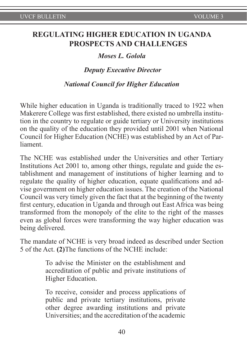## **REGULATING HIGHER EDUCATION IN UGANDA PROSPECTS AND CHALLENGES**

#### *Moses L. Golola*

#### *Deputy Executive Director*

#### *National Council for Higher Education*

While higher education in Uganda is traditionally traced to 1922 when Makerere College was first established, there existed no umbrella institution in the country to regulate or guide tertiary or University institutions on the quality of the education they provided until 2001 when National Council for Higher Education (NCHE) was established by an Act of Parliament.

The NCHE was established under the Universities and other Tertiary Institutions Act 2001 to, among other things, regulate and guide the establishment and management of institutions of higher learning and to regulate the quality of higher education, equate qualifications and advise government on higher education issues. The creation of the National Council was very timely given the fact that at the beginning of the twenty first century, education in Uganda and through out East Africa was being transformed from the monopoly of the elite to the right of the masses even as global forces were transforming the way higher education was being delivered.

The mandate of NCHE is very broad indeed as described under Section 5 of the Act. **(2)**The functions of the NCHE include:

> To advise the Minister on the establishment and accreditation of public and private institutions of Higher Education.

> To receive, consider and process applications of public and private tertiary institutions, private other degree awarding institutions and private Universities; and the accreditation of the academic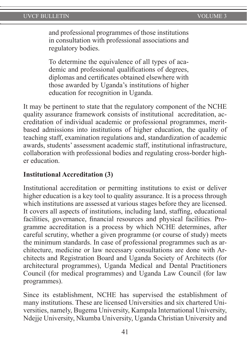and professional programmes of those institutions in consultation with professional associations and regulatory bodies.

To determine the equivalence of all types of academic and professional qualifications of degrees, diplomas and certificates obtained elsewhere with those awarded by Uganda's institutions of higher education for recognition in Uganda.

It may be pertinent to state that the regulatory component of the NCHE quality assurance framework consists of institutional accreditation, accreditation of individual academic or professional programmes, meritbased admissions into institutions of higher education, the quality of teaching staff, examination regulations and, standardization of academic awards, students' assessment academic staff, institutional infrastructure, collaboration with professional bodies and regulating cross-border higher education.

### **Institutional Accreditation (3)**

Institutional accreditation or permitting institutions to exist or deliver higher education is a key tool to quality assurance. It is a process through which institutions are assessed at various stages before they are licensed. It covers all aspects of institutions, including land, staffing, educational facilities, governance, financial resources and physical facilities. Programme accreditation is a process by which NCHE determines, after careful scrutiny, whether a given programme (or course of study) meets the minimum standards. In case of professional programmes such as architecture, medicine or law necessary consultations are done with Architects and Registration Board and Uganda Society of Architects (for architectural programmes), Uganda Medical and Dental Practitioners Council (for medical programmes) and Uganda Law Council (for law programmes).

Since its establishment, NCHE has supervised the establishment of many institutions. These are licensed Universities and six chartered Universities, namely, Bugema University, Kampala International University, Ndejje University, Nkumba University, Uganda Christian University and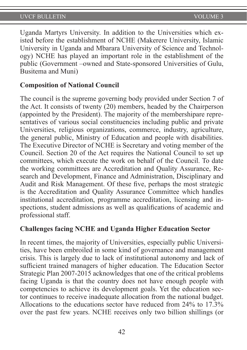Uganda Martyrs University. In addition to the Universities which existed before the establishment of NCHE (Makerere University, Islamic University in Uganda and Mbarara University of Science and Technology) NCHE has played an important role in the establishment of the public (Government –owned and State-sponsored Universities of Gulu, Busitema and Muni)

### **Composition of National Council**

The council is the supreme governing body provided under Section 7 of the Act. It consists of twenty (20) members, headed by the Chairperson (appointed by the President). The majority of the membershipare representatives of various social constituencies including public and private Universities, religious organizations, commerce, industry, agriculture, the general public, Ministry of Education and people with disabilities. The Executive Director of NCHE is Secretary and voting member of the Council. Section 20 of the Act requires the National Council to set up committees, which execute the work on behalf of the Council. To date the working committees are Accreditation and Quality Assurance, Research and Development, Finance and Administration, Disciplinary and Audit and Risk Management. Of these five, perhaps the most strategic is the Accreditation and Quality Assurance Committee which handles institutional accreditation, programme accreditation, licensing and inspections, student admissions as well as qualifications of academic and professional staff.

### **Challenges facing NCHE and Uganda Higher Education Sector**

In recent times, the majority of Universities, especially public Universities, have been embroiled in some kind of governance and management crisis. This is largely due to lack of institutional autonomy and lack of sufficient trained managers of higher education. The Education Sector Strategic Plan 2007-2015 acknowledges that one of the critical problems facing Uganda is that the country does not have enough people with competencies to achieve its development goals. Yet the education sector continues to receive inadequate allocation from the national budget. Allocations to the educations sector have reduced from 24% to 17.3% over the past few years. NCHE receives only two billion shillings (or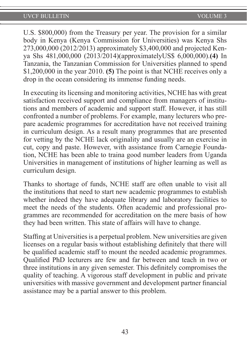U.S. \$800,000) from the Treasury per year. The provision for a similar body in Kenya (Kenya Commission for Universities) was Kenya Shs 273,000,000 (2012/2013) approximately \$3,400,000 and projected Kenya Shs 481,000,000 (2013/2014)(approximatelyUS\$ 6,000,000).**(4)** In Tanzania, the Tanzanian Commission for Universities planned to spend \$1,200,000 in the year 2010. **(5)** The point is that NCHE receives only a drop in the ocean considering its immense funding needs.

In executing its licensing and monitoring activities, NCHE has with great satisfaction received support and compliance from managers of institutions and members of academic and support staff. However, it has still confronted a number of problems. For example, many lecturers who prepare academic programmes for accreditation have not received training in curriculum design. As a result many programmes that are presented for vetting by the NCHE lack originality and usually are an exercise in cut, copy and paste. However, with assistance from Carnegie Foundation, NCHE has been able to traina good number leaders from Uganda Universities in management of institutions of higher learning as well as curriculum design.

Thanks to shortage of funds, NCHE staff are often unable to visit all the institutions that need to start new academic programmes to establish whether indeed they have adequate library and laboratory facilities to meet the needs of the students. Often academic and professional programmes are recommended for accreditation on the mere basis of how they had been written. This state of affairs will have to change.

Staffing at Universities is a perpetual problem. New universities are given licenses on a regular basis without establishing definitely that there will be qualified academic staff to mount the needed academic programmes. Qualified PhD lecturers are few and far between and teach in two or three institutions in any given semester. This definitely compromises the quality of teaching. A vigorous staff development in public and private universities with massive government and development partner financial assistance may be a partial answer to this problem.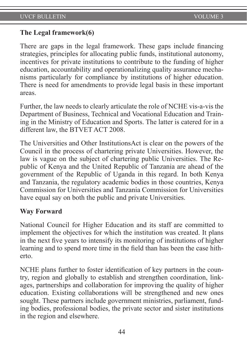### **The Legal framework(6)**

There are gaps in the legal framework. These gaps include financing strategies, principles for allocating public funds, institutional autonomy, incentives for private institutions to contribute to the funding of higher education, accountability and operationalizing quality assurance mechanisms particularly for compliance by institutions of higher education. There is need for amendments to provide legal basis in these important areas.

Further, the law needs to clearly articulate the role of NCHE vis-a-vis the Department of Business, Technical and Vocational Education and Training in the Ministry of Education and Sports. The latter is catered for in a different law, the BTVET ACT 2008.

The Universities and Other InstitutionsAct is clear on the powers of the Council in the process of chartering private Universities. However, the law is vague on the subject of chartering public Universities. The Republic of Kenya and the United Republic of Tanzania are ahead of the government of the Republic of Uganda in this regard. In both Kenya and Tanzania, the regulatory academic bodies in those countries, Kenya Commission for Universities and Tanzania Commission for Universities have equal say on both the public and private Universities.

### **Way Forward**

National Council for Higher Education and its staff are committed to implement the objectives for which the institution was created. It plans in the next five years to intensify its monitoring of institutions of higher learning and to spend more time in the field than has been the case hitherto.

NCHE plans further to foster identification of key partners in the country, region and globally to establish and strengthen coordination, linkages, partnerships and collaboration for improving the quality of higher education. Existing collaborations will be strengthened and new ones sought. These partners include government ministries, parliament, funding bodies, professional bodies, the private sector and sister institutions in the region and elsewhere.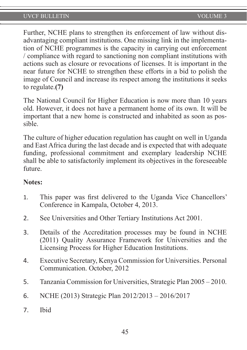Further, NCHE plans to strengthen its enforcement of law without disadvantaging compliant institutions. One missing link in the implementation of NCHE programmes is the capacity in carrying out enforcement / compliance with regard to sanctioning non compliant institutions with actions such as closure or revocations of licenses. It is important in the near future for NCHE to strengthen these efforts in a bid to polish the image of Council and increase its respect among the institutions it seeks to regulate.**(7)**

The National Council for Higher Education is now more than 10 years old. However, it does not have a permanent home of its own. It will be important that a new home is constructed and inhabited as soon as possible.

The culture of higher education regulation has caught on well in Uganda and East Africa during the last decade and is expected that with adequate funding, professional commitment and exemplary leadership NCHE shall be able to satisfactorily implement its objectives in the foreseeable future.

## **Notes:**

- 1. This paper was first delivered to the Uganda Vice Chancellors' Conference in Kampala, October 4, 2013.
- 2. See Universities and Other Tertiary Institutions Act 2001.
- 3. Details of the Accreditation processes may be found in NCHE (2011) Quality Assurance Framework for Universities and the Licensing Process for Higher Education Institutions.
- 4. Executive Secretary, Kenya Commission for Universities. Personal Communication. October, 2012
- 5. Tanzania Commission for Universities, Strategic Plan 2005 2010.
- 6. NCHE (2013) Strategic Plan 2012/2013 2016/2017
- 7. Ibid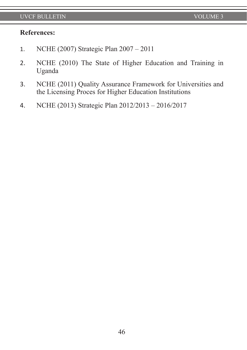### **References:**

- 1. NCHE (2007) Strategic Plan 2007 2011
- 2. NCHE (2010) The State of Higher Education and Training in Uganda
- 3. NCHE (2011) Quality Assurance Framework for Universities and the Licensing Proces for Higher Education Institutions
- 4. NCHE (2013) Strategic Plan 2012/2013 2016/2017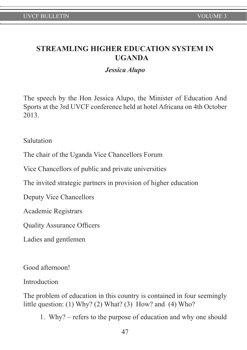# **STREAMLING HIGHER EDUCATION SYSTEM IN UGANDA**

## *Jessica Alupo*

The speech by the Hon Jessica Alupo, the Minister of Education And Sports at the 3rd UVCF conference held at hotel Africana on 4th October 2013.

Salutation

The chair of the Uganda Vice Chancellors Forum

Vice Chancellors of public and private universities

The invited strategic partners in provision of higher education

Deputy Vice Chancellors

Academic Registrars

Quality Assurance Officers

Ladies and gentlemen

Good afternoon!

Introduction

The problem of education in this country is contained in four seemingly little question: (1) Why? (2) What? (3) How? and (4) Who?

1. Why? – refers to the purpose of education and why one should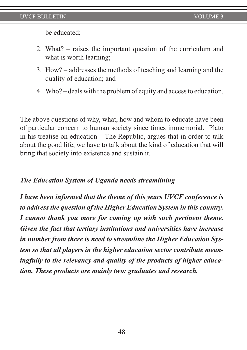be educated;

- 2. What? raises the important question of the curriculum and what is worth learning;
- 3. How? addresses the methods of teaching and learning and the quality of education; and
- 4. Who? deals with the problem of equity and access to education.

The above questions of why, what, how and whom to educate have been of particular concern to human society since times immemorial. Plato in his treatise on education – The Republic, argues that in order to talk about the good life, we have to talk about the kind of education that will bring that society into existence and sustain it.

## *The Education System of Uganda needs streamlining*

*I have been informed that the theme of this years UVCF conference is to address the question of the Higher Education System in this country. I cannot thank you more for coming up with such pertinent theme. Given the fact that tertiary institutions and universities have increase in number from there is need to streamline the Higher Education System so that all players in the higher education sector contribute meaningfully to the relevancy and quality of the products of higher education. These products are mainly two: graduates and research.*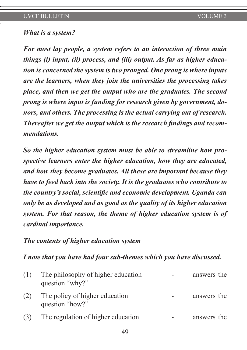## *What is a system?*

*For most lay people, a system refers to an interaction of three main things (i) input, (ii) process, and (iii) output. As far as higher education is concerned the system is two pronged. One prong is where inputs are the learners, when they join the universities the processing takes place, and then we get the output who are the graduates. The second prong is where input is funding for research given by government, donors, and others. The processing is the actual carrying out of research. Thereafter we get the output which is the research findings and recommendations.* 

*So the higher education system must be able to streamline how prospective learners enter the higher education, how they are educated, and how they become graduates. All these are important because they have to feed back into the society. It is the graduates who contribute to the country's social, scientific and economic development. Uganda can only be as developed and as good as the quality of its higher education system. For that reason, the theme of higher education system is of cardinal importance.* 

### *The contents of higher education system*

#### *I note that you have had four sub-themes which you have discussed.*

| (1) | The philosophy of higher education<br>question "why?" | answers the |
|-----|-------------------------------------------------------|-------------|
| (2) | The policy of higher education<br>question "how?"     | answers the |
| (3) | The regulation of higher education                    | answers the |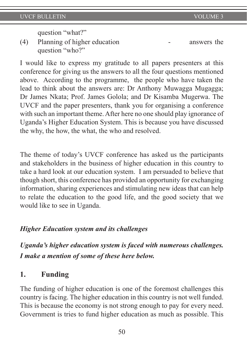question "what?"

(4) Planning of higher education - answers the question "who?"

I would like to express my gratitude to all papers presenters at this conference for giving us the answers to all the four questions mentioned above. According to the programme, the people who have taken the lead to think about the answers are: Dr Anthony Muwagga Mugagga; Dr James Nkata; Prof. James Golola; and Dr Kisamba Mugerwa. The UVCF and the paper presenters, thank you for organising a conference with such an important theme. After here no one should play ignorance of Uganda's Higher Education System. This is because you have discussed the why, the how, the what, the who and resolved.

The theme of today's UVCF conference has asked us the participants and stakeholders in the business of higher education in this country to take a hard look at our education system. I am persuaded to believe that though short, this conference has provided an opportunity for exchanging information, sharing experiences and stimulating new ideas that can help to relate the education to the good life, and the good society that we would like to see in Uganda.

### *Higher Education system and its challenges*

*Uganda's higher education system is faced with numerous challenges. I make a mention of some of these here below.* 

# **1. Funding**

The funding of higher education is one of the foremost challenges this country is facing. The higher education in this country is not well funded. This is because the economy is not strong enough to pay for every need. Government is tries to fund higher education as much as possible. This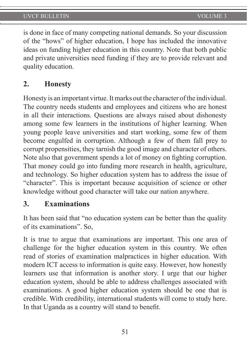is done in face of many competing national demands. So your discussion of the "hows" of higher education, I hope has included the innovative ideas on funding higher education in this country. Note that both public and private universities need funding if they are to provide relevant and quality education.

# **2. Honesty**

Honesty is an important virtue. It marks out the character of the individual. The country needs students and employees and citizens who are honest in all their interactions. Questions are always raised about dishonesty among some few learners in the institutions of higher learning. When young people leave universities and start working, some few of them become engulfed in corruption. Although a few of them fall prey to corrupt propensities, they tarnish the good image and character of others. Note also that government spends a lot of money on fighting corruption. That money could go into funding more research in health, agriculture, and technology. So higher education system has to address the issue of "character". This is important because acquisition of science or other knowledge without good character will take our nation anywhere.

## **3. Examinations**

It has been said that "no education system can be better than the quality of its examinations". So,

It is true to argue that examinations are important. This one area of challenge for the higher education system in this country. We often read of stories of examination malpractices in higher education. With modern ICT access to information is quite easy. However, how honestly learners use that information is another story. I urge that our higher education system, should be able to address challenges associated with examinations. A good higher education system should be one that is credible. With credibility, international students will come to study here. In that Uganda as a country will stand to benefit.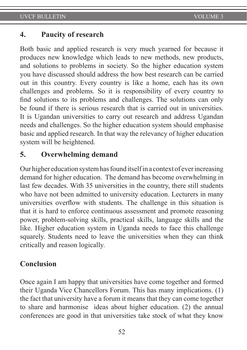### **4. Paucity of research**

Both basic and applied research is very much yearned for because it produces new knowledge which leads to new methods, new products, and solutions to problems in society. So the higher education system you have discussed should address the how best research can be carried out in this country. Every country is like a home, each has its own challenges and problems. So it is responsibility of every country to find solutions to its problems and challenges. The solutions can only be found if there is serious research that is carried out in universities. It is Ugandan universities to carry out research and address Ugandan needs and challenges. So the higher education system should emphasise basic and applied research. In that way the relevancy of higher education system will be heightened.

# **5. Overwhelming demand**

Our higher education system has found itself in a context of ever increasing demand for higher education. The demand has become overwhelming in last few decades. With 35 universities in the country, there still students who have not been admitted to university education. Lecturers in many universities overflow with students. The challenge in this situation is that it is hard to enforce continuous assessment and promote reasoning power, problem-solving skills, practical skills, language skills and the like. Higher education system in Uganda needs to face this challenge squarely. Students need to leave the universities when they can think critically and reason logically.

## **Conclusion**

Once again I am happy that universities have come together and formed their Uganda Vice Chancellors Forum. This has many implications. (1) the fact that university have a forum it means that they can come together to share and harmonise ideas about higher education. (2) the annual conferences are good in that universities take stock of what they know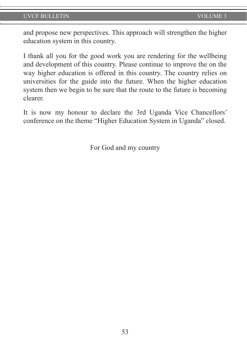and propose new perspectives. This approach will strengthen the higher education system in this country.

I thank all you for the good work you are rendering for the wellbeing and development of this country. Please continue to improve the on the way higher education is offered in this country. The country relies on universities for the guide into the future. When the higher education system then we begin to be sure that the route to the future is becoming clearer.

It is now my honour to declare the 3rd Uganda Vice Chancellors' conference on the theme "Higher Education System in Uganda" closed.

For God and my country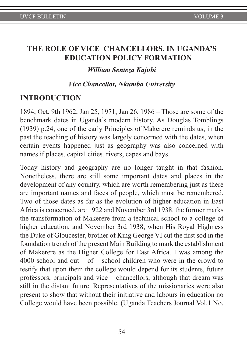# **THE ROLE OF VICE CHANCELLORS, IN UGANDA'S EDUCATION POLICY FORMATION**

### *William Senteza Kajubi*

### *Vice Chancellor, Nkumba University*

## **INTRODUCTION**

1894, Oct. 9th 1962, Jan 25, 1971, Jan 26, 1986 – Those are some of the benchmark dates in Uganda's modern history. As Douglas Tomblings (1939) p.24, one of the early Principles of Makerere reminds us, in the past the teaching of history was largely concerned with the dates, when certain events happened just as geography was also concerned with names if places, capital cities, rivers, capes and bays.

Today history and geography are no longer taught in that fashion. Nonetheless, there are still some important dates and places in the development of any country, which are worth remembering just as there are important names and faces of people, which must be remembered. Two of those dates as far as the evolution of higher education in East Africa is concerned, are 1922 and November 3rd 1938. the former marks the transformation of Makerere from a technical school to a college of higher education, and November 3rd 1938, when His Royal Highness the Duke of Gloucester, brother of King George VI cut the first sod in the foundation trench of the present Main Building to mark the establishment of Makerere as the Higher College for East Africa. I was among the 4000 school and out – of – school children who were in the crowd to testify that upon them the college would depend for its students, future professors, principals and vice – chancellors, although that dream was still in the distant future. Representatives of the missionaries were also present to show that without their initiative and labours in education no College would have been possible. (Uganda Teachers Journal Vol.1 No.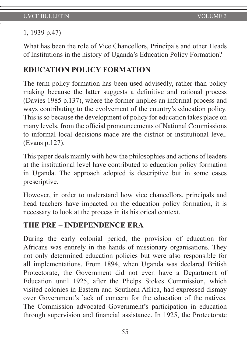## 1, 1939 p.47)

What has been the role of Vice Chancellors, Principals and other Heads of Institutions in the history of Uganda's Education Policy Formation?

# **EDUCATION POLICY FORMATION**

The term policy formation has been used advisedly, rather than policy making because the latter suggests a definitive and rational process (Davies 1985 p.137), where the former implies an informal process and ways contributing to the evolvement of the country's education policy. This is so because the development of policy for education takes place on many levels, from the official pronouncements of National Commissions to informal local decisions made are the district or institutional level. (Evans p.127).

This paper deals mainly with how the philosophies and actions of leaders at the institutional level have contributed to education policy formation in Uganda. The approach adopted is descriptive but in some cases prescriptive.

However, in order to understand how vice chancellors, principals and head teachers have impacted on the education policy formation, it is necessary to look at the process in its historical context.

# **THE PRE – INDEPENDENCE ERA**

During the early colonial period, the provision of education for Africans was entirely in the hands of missionary organisations. They not only determined education policies but were also responsible for all implementations. From 1894, when Uganda was declared British Protectorate, the Government did not even have a Department of Education until 1925, after the Phelps Stokes Commission, which visited colonies in Eastern and Southern Africa, had expressed dismay over Government's lack of concern for the education of the natives. The Commission advocated Government's participation in education through supervision and financial assistance. In 1925, the Protectorate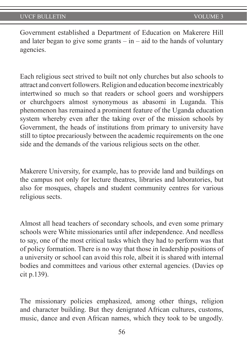Government established a Department of Education on Makerere Hill and later began to give some grants  $-\text{in} - \text{aid}$  to the hands of voluntary agencies.

Each religious sect strived to built not only churches but also schools to attract and convert followers. Religion and education become inextricably intertwined so much so that readers or school goers and worshippers or churchgoers almost synonymous as abasomi in Luganda. This phenomenon has remained a prominent feature of the Uganda education system whereby even after the taking over of the mission schools by Government, the heads of institutions from primary to university have still to tiptoe precariously between the academic requirements on the one side and the demands of the various religious sects on the other.

Makerere University, for example, has to provide land and buildings on the campus not only for lecture theatres, libraries and laboratories, but also for mosques, chapels and student community centres for various religious sects.

Almost all head teachers of secondary schools, and even some primary schools were White missionaries until after independence. And needless to say, one of the most critical tasks which they had to perform was that of policy formation. There is no way that those in leadership positions of a university or school can avoid this role, albeit it is shared with internal bodies and committees and various other external agencies. (Davies op cit p.139).

The missionary policies emphasized, among other things, religion and character building. But they denigrated African cultures, customs, music, dance and even African names, which they took to be ungodly.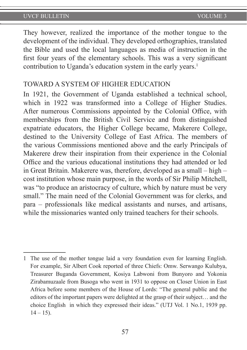They however, realized the importance of the mother tongue to the development of the individual. They developed orthographies, translated the Bible and used the local languages as media of instruction in the first four years of the elementary schools. This was a very significant contribution to Uganda's education system in the early years.<sup>1</sup>

### TOWARD A SYSTEM OF HIGHER EDUCATION

In 1921, the Government of Uganda established a technical school, which in 1922 was transformed into a College of Higher Studies. After numerous Commissions appointed by the Colonial Office, with memberships from the British Civil Service and from distinguished expatriate educators, the Higher College became, Makerere College, destined to the University College of East Africa. The members of the various Commissions mentioned above and the early Principals of Makerere drew their inspiration from their experience in the Colonial Office and the various educational institutions they had attended or led in Great Britain. Makerere was, therefore, developed as a small – high – cost institution whose main purpose, in the words of Sir Philip Mitchell, was "to produce an aristocracy of culture, which by nature must be very small." The main need of the Colonial Government was for clerks, and para – professionals like medical assistants and nurses, and artisans, while the missionaries wanted only trained teachers for their schools.

<sup>1</sup> The use of the mother tongue laid a very foundation even for learning English. For example, Sir Albert Cook reported of three Chiefs: Omw. Serwango Kulubya, Treasurer Buganda Government, Kosiya Labwoni from Bunyoro and Yokonia Zirabamuzaale from Busoga who went in 1931 to oppose on Closer Union in East Africa before some members of the House of Lords: "The general public and the editors of the important papers were delighted at the grasp of their subject… and the choice English in which they expressed their ideas." (UTJ Vol. 1 No.1, 1939 pp.  $14 - 15$ ).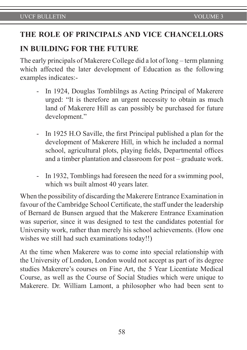# **THE ROLE OF PRINCIPALS AND VICE CHANCELLORS**

## **IN BUILDING FOR THE FUTURE**

The early principals of Makerere College did a lot of long – term planning which affected the later development of Education as the following examples indicates:-

- In 1924, Douglas Tomblilngs as Acting Principal of Makerere urged: "It is therefore an urgent necessity to obtain as much land of Makerere Hill as can possibly be purchased for future development."
- In 1925 H.O Saville, the first Principal published a plan for the development of Makerere Hill, in which he included a normal school, agricultural plots, playing fields, Departmental offices and a timber plantation and classroom for post – graduate work.
- In 1932, Tomblings had foreseen the need for a swimming pool, which ws built almost 40 years later.

When the possibility of discarding the Makerere Entrance Examination in favour of the Cambridge School Certificate, the staff under the leadership of Bernard de Bunsen argued that the Makerere Entrance Examination was superior, since it was designed to test the candidates potential for University work, rather than merely his school achievements. (How one wishes we still had such examinations today!!)

At the time when Makerere was to come into special relationship with the University of London, London would not accept as part of its degree studies Makerere's courses on Fine Art, the 5 Year Licentiate Medical Course, as well as the Course of Social Studies which were unique to Makerere. Dr. William Lamont, a philosopher who had been sent to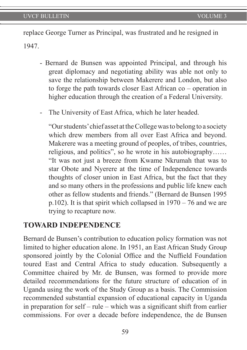replace George Turner as Principal, was frustrated and he resigned in 1947.

- Bernard de Bunsen was appointed Principal, and through his great diplomacy and negotiating ability was able not only to save the relationship between Makerere and London, but also to forge the path towards closer East African co – operation in higher education through the creation of a Federal University.
- The University of East Africa, which he later headed.

"Our students' chief asset at the College was to belong to a society which drew members from all over East Africa and beyond. Makerere was a meeting ground of peoples, of tribes, countries, religious, and politics", so he wrote in his autobiography…… "It was not just a breeze from Kwame Nkrumah that was to star Obote and Nyerere at the time of Independence towards thoughts of closer union in East Africa, but the fact that they and so many others in the professions and public life knew each other as fellow students and friends." (Bernard de Bunsen 1995 p.102). It is that spirit which collapsed in  $1970 - 76$  and we are trying to recapture now.

## **TOWARD INDEPENDENCE**

Bernard de Bunsen's contribution to education policy formation was not limited to higher education alone. In 1951, an East African Study Group sponsored jointly by the Colonial Office and the Nuffield Foundation toured East and Central Africa to study education. Subsequently a Committee chaired by Mr. de Bunsen, was formed to provide more detailed recommendations for the future structure of education of in Uganda using the work of the Study Group as a basis. The Commission recommended substantial expansion of educational capacity in Uganda in preparation for self – rule – which was a significant shift from earlier commissions. For over a decade before independence, the de Bunsen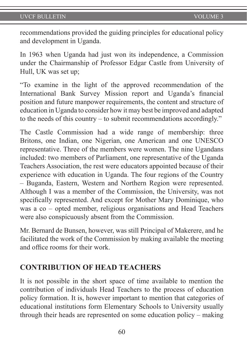recommendations provided the guiding principles for educational policy and development in Uganda.

In 1963 when Uganda had just won its independence, a Commission under the Chairmanship of Professor Edgar Castle from University of Hull, UK was set up;

"To examine in the light of the approved recommendation of the International Bank Survey Mission report and Uganda's financial position and future manpower requirements, the content and structure of education in Uganda to consider how it may best be improved and adapted to the needs of this country – to submit recommendations accordingly."

The Castle Commission had a wide range of membership: three Britons, one Indian, one Nigerian, one American and one UNESCO representative. Three of the members were women. The nine Ugandans included: two members of Parliament, one representative of the Uganda Teachers Association, the rest were educators appointed because of their experience with education in Uganda. The four regions of the Country – Buganda, Eastern, Western and Northern Region were represented. Although I was a member of the Commission, the University, was not specifically represented. And except for Mother Mary Dominique, who was a co – opted member, religious organisations and Head Teachers were also conspicuously absent from the Commission.

Mr. Bernard de Bunsen, however, was still Principal of Makerere, and he facilitated the work of the Commission by making available the meeting and office rooms for their work.

## **CONTRIBUTION OF HEAD TEACHERS**

It is not possible in the short space of time available to mention the contribution of individuals Head Teachers to the process of education policy formation. It is, however important to mention that categories of educational institutions form Elementary Schools to University usually through their heads are represented on some education policy – making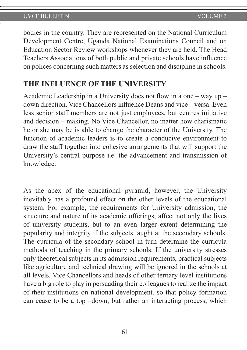bodies in the country. They are represented on the National Curriculum Development Centre, Uganda National Examinations Council and on Education Sector Review workshops whenever they are held. The Head Teachers Associations of both public and private schools have influence on polices concerning such matters as selection and discipline in schools.

## **THE INFLUENCE OF THE UNIVERSITY**

Academic Leadership in a University does not flow in a one – way up – down direction. Vice Chancellors influence Deans and vice – versa. Even less senior staff members are not just employees, but centres initiative and decision – making. No Vice Chancellor, no matter how charismatic he or she may be is able to change the character of the University. The function of academic leaders is to create a conducive environment to draw the staff together into cohesive arrangements that will support the University's central purpose i.e. the advancement and transmission of knowledge.

As the apex of the educational pyramid, however, the University inevitably has a profound effect on the other levels of the educational system. For example, the requirements for University admission, the structure and nature of its academic offerings, affect not only the lives of university students, but to an even larger extent determining the popularity and integrity if the subjects taught at the secondary schools. The curricula of the secondary school in turn determine the curricula methods of teaching in the primary schools. If the university stresses only theoretical subjects in its admission requirements, practical subjects like agriculture and technical drawing will be ignored in the schools at all levels. Vice Chancellors and heads of other tertiary level institutions have a big role to play in persuading their colleagues to realize the impact of their institutions on national development, so that policy formation can cease to be a top –down, but rather an interacting process, which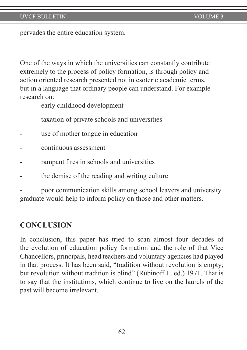pervades the entire education system.

One of the ways in which the universities can constantly contribute extremely to the process of policy formation, is through policy and action oriented research presented not in esoteric academic terms, but in a language that ordinary people can understand. For example research on:

- early childhood development
- taxation of private schools and universities
- use of mother tongue in education
- continuous assessment
- rampant fires in schools and universities
- the demise of the reading and writing culture

poor communication skills among school leavers and university graduate would help to inform policy on those and other matters.

## **CONCLUSION**

In conclusion, this paper has tried to scan almost four decades of the evolution of education policy formation and the role of that Vice Chancellors, principals, head teachers and voluntary agencies had played in that process. It has been said, "tradition without revolution is empty; but revolution without tradition is blind" (Rubinoff L. ed.) 1971. That is to say that the institutions, which continue to live on the laurels of the past will become irrelevant.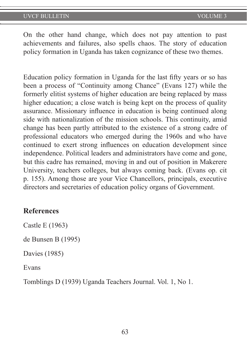On the other hand change, which does not pay attention to past achievements and failures, also spells chaos. The story of education policy formation in Uganda has taken cognizance of these two themes.

Education policy formation in Uganda for the last fifty years or so has been a process of "Continuity among Chance" (Evans 127) while the formerly elitist systems of higher education are being replaced by mass higher education; a close watch is being kept on the process of quality assurance. Missionary influence in education is being continued along side with nationalization of the mission schools. This continuity, amid change has been partly attributed to the existence of a strong cadre of professional educators who emerged during the 1960s and who have continued to exert strong influences on education development since independence. Political leaders and administrators have come and gone, but this cadre has remained, moving in and out of position in Makerere University, teachers colleges, but always coming back. (Evans op. cit p. 155). Among those are your Vice Chancellors, principals, executive directors and secretaries of education policy organs of Government.

### **References**

Castle E (1963)

de Bunsen B (1995)

Davies (1985)

Evans

Tomblings D (1939) Uganda Teachers Journal. Vol. 1, No 1.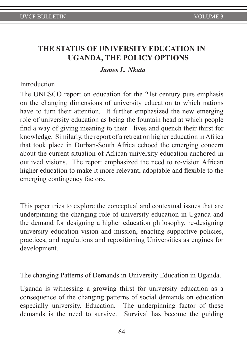# **THE STATUS OF UNIVERSITY EDUCATION IN UGANDA, THE POLICY OPTIONS**

#### *James L. Nkata*

#### Introduction

The UNESCO report on education for the 21st century puts emphasis on the changing dimensions of university education to which nations have to turn their attention. It further emphasized the new emerging role of university education as being the fountain head at which people find a way of giving meaning to their lives and quench their thirst for knowledge. Similarly, the report of a retreat on higher education in Africa that took place in Durban-South Africa echoed the emerging concern about the current situation of African university education anchored in outlived visions. The report emphasized the need to re-vision African higher education to make it more relevant, adoptable and flexible to the emerging contingency factors.

This paper tries to explore the conceptual and contextual issues that are underpinning the changing role of university education in Uganda and the demand for designing a higher education philosophy, re-designing university education vision and mission, enacting supportive policies, practices, and regulations and repositioning Universities as engines for development.

The changing Patterns of Demands in University Education in Uganda.

Uganda is witnessing a growing thirst for university education as a consequence of the changing patterns of social demands on education especially university. Education. The underpinning factor of these demands is the need to survive. Survival has become the guiding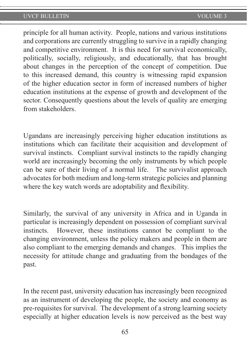principle for all human activity. People, nations and various institutions and corporations are currently struggling to survive in a rapidly changing and competitive environment. It is this need for survival economically, politically, socially, religiously, and educationally, that has brought about changes in the perception of the concept of competition. Due to this increased demand, this country is witnessing rapid expansion of the higher education sector in form of increased numbers of higher education institutions at the expense of growth and development of the sector. Consequently questions about the levels of quality are emerging from stakeholders.

Ugandans are increasingly perceiving higher education institutions as institutions which can facilitate their acquisition and development of survival instincts. Compliant survival instincts to the rapidly changing world are increasingly becoming the only instruments by which people can be sure of their living of a normal life. The survivalist approach advocates for both medium and long-term strategic policies and planning where the key watch words are adoptability and flexibility.

Similarly, the survival of any university in Africa and in Uganda in particular is increasingly dependent on possession of compliant survival instincts. However, these institutions cannot be compliant to the changing environment, unless the policy makers and people in them are also compliant to the emerging demands and changes. This implies the necessity for attitude change and graduating from the bondages of the past.

In the recent past, university education has increasingly been recognized as an instrument of developing the people, the society and economy as pre-requisites for survival. The development of a strong learning society especially at higher education levels is now perceived as the best way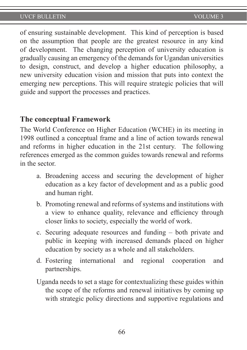of ensuring sustainable development. This kind of perception is based on the assumption that people are the greatest resource in any kind of development. The changing perception of university education is gradually causing an emergency of the demands for Ugandan universities to design, construct, and develop a higher education philosophy, a new university education vision and mission that puts into context the emerging new perceptions. This will require strategic policies that will guide and support the processes and practices.

## **The conceptual Framework**

The World Conference on Higher Education (WCHE) in its meeting in 1998 outlined a conceptual frame and a line of action towards renewal and reforms in higher education in the 21st century. The following references emerged as the common guides towards renewal and reforms in the sector.

- a. Broadening access and securing the development of higher education as a key factor of development and as a public good and human right.
- b. Promoting renewal and reforms of systems and institutions with a view to enhance quality, relevance and efficiency through closer links to society, especially the world of work.
- c. Securing adequate resources and funding both private and public in keeping with increased demands placed on higher education by society as a whole and all stakeholders.
- d. Fostering international and regional cooperation and partnerships.
- Uganda needs to set a stage for contextualizing these guides within the scope of the reforms and renewal initiatives by coming up with strategic policy directions and supportive regulations and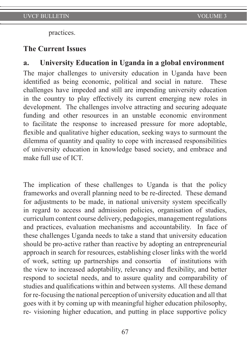practices.

#### **The Current Issues**

## **a. University Education in Uganda in a global environment**

The major challenges to university education in Uganda have been identified as being economic, political and social in nature. These challenges have impeded and still are impending university education in the country to play effectively its current emerging new roles in development. The challenges involve attracting and securing adequate funding and other resources in an unstable economic environment to facilitate the response to increased pressure for more adoptable, flexible and qualitative higher education, seeking ways to surmount the dilemma of quantity and quality to cope with increased responsibilities of university education in knowledge based society, and embrace and make full use of ICT.

The implication of these challenges to Uganda is that the policy frameworks and overall planning need to be re-directed. These demand for adjustments to be made, in national university system specifically in regard to access and admission policies, organisation of studies, curriculum content course delivery, pedagogies, management regulations and practices, evaluation mechanisms and accountability. In face of these challenges Uganda needs to take a stand that university education should be pro-active rather than reactive by adopting an entrepreneurial approach in search for resources, establishing closer links with the world of work, setting up partnerships and consortia of institutions with the view to increased adoptability, relevancy and flexibility, and better respond to societal needs, and to assure quality and comparability of studies and qualifications within and between systems. All these demand for re-focusing the national perception of university education and all that goes with it by coming up with meaningful higher education philosophy, re- visioning higher education, and putting in place supportive policy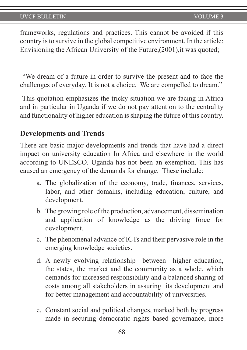frameworks, regulations and practices. This cannot be avoided if this country is to survive in the global competitive environment. In the article: Envisioning the African University of the Future,(2001),it was quoted;

 "We dream of a future in order to survive the present and to face the challenges of everyday. It is not a choice. We are compelled to dream."

 This quotation emphasizes the tricky situation we are facing in Africa and in particular in Uganda if we do not pay attention to the centrality and functionality of higher education is shaping the future of this country.

#### **Developments and Trends**

There are basic major developments and trends that have had a direct impact on university education In Africa and elsewhere in the world according to UNESCO. Uganda has not been an exemption. This has caused an emergency of the demands for change. These include:

- a. The globalization of the economy, trade, finances, services, labor, and other domains, including education, culture, and development.
- b. The growing role of the production, advancement, dissemination and application of knowledge as the driving force for development.
- c. The phenomenal advance of ICTs and their pervasive role in the emerging knowledge societies.
- d. A newly evolving relationship between higher education, the states, the market and the community as a whole, which demands for increased responsibility and a balanced sharing of costs among all stakeholders in assuring its development and for better management and accountability of universities.
- e. Constant social and political changes, marked both by progress made in securing democratic rights based governance, more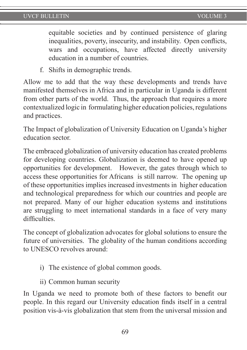equitable societies and by continued persistence of glaring inequalities, poverty, insecurity, and instability. Open conflicts, wars and occupations, have affected directly university education in a number of countries.

f. Shifts in demographic trends.

Allow me to add that the way these developments and trends have manifested themselves in Africa and in particular in Uganda is different from other parts of the world. Thus, the approach that requires a more contextualized logic in formulating higher education policies, regulations and practices.

The Impact of globalization of University Education on Uganda's higher education sector.

The embraced globalization of university education has created problems for developing countries. Globalization is deemed to have opened up opportunities for development. However, the gates through which to access these opportunities for Africans is still narrow. The opening up of these opportunities implies increased investments in higher education and technological preparedness for which our countries and people are not prepared. Many of our higher education systems and institutions are struggling to meet international standards in a face of very many difficulties.

The concept of globalization advocates for global solutions to ensure the future of universities. The globality of the human conditions according to UNESCO revolves around:

- i) The existence of global common goods.
- ii) Common human security

In Uganda we need to promote both of these factors to benefit our people. In this regard our University education finds itself in a central position vis-à-vis globalization that stem from the universal mission and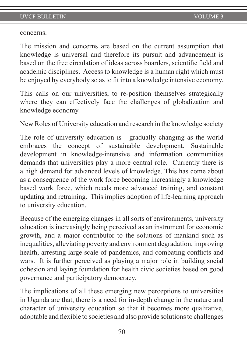concerns.

The mission and concerns are based on the current assumption that knowledge is universal and therefore its pursuit and advancement is based on the free circulation of ideas across boarders, scientific field and academic disciplines. Access to knowledge is a human right which must be enjoyed by everybody so as to fit into a knowledge intensive economy.

This calls on our universities, to re-position themselves strategically where they can effectively face the challenges of globalization and knowledge economy.

New Roles of University education and research in the knowledge society

The role of university education is gradually changing as the world embraces the concept of sustainable development. Sustainable development in knowledge-intensive and information communities demands that universities play a more central role. Currently there is a high demand for advanced levels of knowledge. This has come about as a consequence of the work force becoming increasingly a knowledge based work force, which needs more advanced training, and constant updating and retraining. This implies adoption of life-learning approach to university education.

Because of the emerging changes in all sorts of environments, university education is increasingly being perceived as an instrument for economic growth, and a major contributor to the solutions of mankind such as inequalities, alleviating poverty and environment degradation, improving health, arresting large scale of pandemics, and combating conflicts and wars. It is further perceived as playing a major role in building social cohesion and laying foundation for health civic societies based on good governance and participatory democracy.

The implications of all these emerging new perceptions to universities in Uganda are that, there is a need for in-depth change in the nature and character of university education so that it becomes more qualitative, adoptable and flexible to societies and also provide solutions to challenges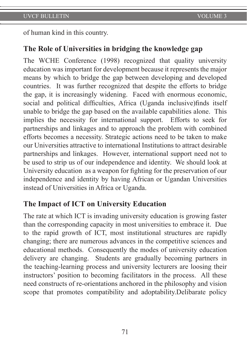of human kind in this country.

# **The Role of Universities in bridging the knowledge gap**

The WCHE Conference (1998) recognized that quality university education was important for development because it represents the major means by which to bridge the gap between developing and developed countries. It was further recognized that despite the efforts to bridge the gap, it is increasingly widening. Faced with enormous economic, social and political difficulties, Africa (Uganda inclusive)finds itself unable to bridge the gap based on the available capabilities alone. This implies the necessity for international support. Efforts to seek for partnerships and linkages and to approach the problem with combined efforts becomes a necessity. Strategic actions need to be taken to make our Universities attractive to international Institutions to attract desirable partnerships and linkages. However, international support need not to be used to strip us of our independence and identity. We should look at University education as a weapon for fighting for the preservation of our independence and identity by having African or Ugandan Universities instead of Universities in Africa or Uganda.

## **The Impact of ICT on University Education**

The rate at which ICT is invading university education is growing faster than the corresponding capacity in most universities to embrace it. Due to the rapid growth of ICT, most institutional structures are rapidly changing; there are numerous advances in the competitive sciences and educational methods. Consequently the modes of university education delivery are changing. Students are gradually becoming partners in the teaching-learning process and university lecturers are loosing their instructors' position to becoming facilitators in the process. All these need constructs of re-orientations anchored in the philosophy and vision scope that promotes compatibility and adoptability.Delibarate policy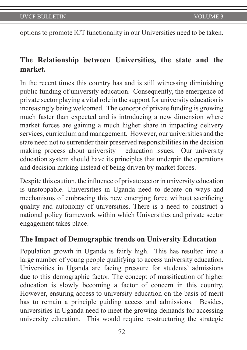options to promote ICT functionality in our Universities need to be taken.

# **The Relationship between Universities, the state and the market.**

In the recent times this country has and is still witnessing diminishing public funding of university education. Consequently, the emergence of private sector playing a vital role in the support for university education is increasingly being welcomed. The concept of private funding is growing much faster than expected and is introducing a new dimension where market forces are gaining a much higher share in impacting delivery services, curriculum and management. However, our universities and the state need not to surrender their preserved responsibilities in the decision making process about university education issues. Our university education system should have its principles that underpin the operations and decision making instead of being driven by market forces.

Despite this caution, the influence of private sector in university education is unstoppable. Universities in Uganda need to debate on ways and mechanisms of embracing this new emerging force without sacrificing quality and autonomy of universities. There is a need to construct a national policy framework within which Universities and private sector engagement takes place.

## **The Impact of Demographic trends on University Education**

Population growth in Uganda is fairly high. This has resulted into a large number of young people qualifying to access university education. Universities in Uganda are facing pressure for students' admissions due to this demographic factor. The concept of massification of higher education is slowly becoming a factor of concern in this country. However, ensuring access to university education on the basis of merit has to remain a principle guiding access and admissions. Besides, universities in Uganda need to meet the growing demands for accessing university education. This would require re-structuring the strategic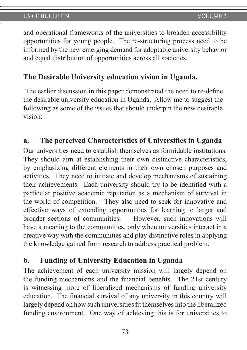and operational frameworks of the universities to broaden accessibility opportunities for young people. The re-structuring process need to be informed by the new emerging demand for adoptable university behavior and equal distribution of opportunities across all societies.

# **The Desirable University education vision in Uganda.**

 The earlier discussion in this paper demonstrated the need to re-define the desirable university education in Uganda. Allow me to suggest the following as some of the issues that should underpin the new desirable vision:

## **a. The perceived Characteristics of Universities in Uganda**

Our universities need to establish themselves as formidable institutions. They should aim at establishing their own distinctive characteristics, by emphasizing different elements in their own chosen purposes and activities. They need to initiate and develop mechanisms of sustaining their achievements. Each university should try to be identified with a particular positive academic reputation as a mechanism of survival in the world of competition. They also need to seek for innovative and effective ways of extending opportunities for learning to larger and broader sections of communities. However, such innovations will have a meaning to the communities, only when universities interact in a creative way with the communities and play distinctive roles in applying the knowledge gained from research to address practical problem.

## **b. Funding of University Education in Uganda**

The achievement of each university mission will largely depend on the funding mechanisms and the financial benefits. The 21st century is witnessing more of liberalized mechanisms of funding university education. The financial survival of any university in this country will largely depend on how such universities fit themselves into the liberalized funding environment. One way of achieving this is for universities to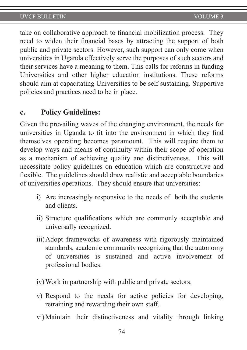take on collaborative approach to financial mobilization process. They need to widen their financial bases by attracting the support of both public and private sectors. However, such support can only come when universities in Uganda effectively serve the purposes of such sectors and their services have a meaning to them. This calls for reforms in funding Universities and other higher education institutions. These reforms should aim at capacitating Universities to be self sustaining. Supportive policies and practices need to be in place.

#### **c. Policy Guidelines:**

Given the prevailing waves of the changing environment, the needs for universities in Uganda to fit into the environment in which they find themselves operating becomes paramount. This will require them to develop ways and means of continuity within their scope of operation as a mechanism of achieving quality and distinctiveness. This will necessitate policy guidelines on education which are constructive and flexible. The guidelines should draw realistic and acceptable boundaries of universities operations. They should ensure that universities:

- i) Are increasingly responsive to the needs of both the students and clients.
- ii) Structure qualifications which are commonly acceptable and universally recognized.
- iii)Adopt frameworks of awareness with rigorously maintained standards, academic community recognizing that the autonomy of universities is sustained and active involvement of professional bodies.
- iv)Work in partnership with public and private sectors.
- v) Respond to the needs for active policies for developing, retraining and rewarding their own staff.
- vi)Maintain their distinctiveness and vitality through linking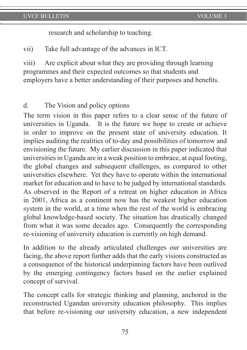research and scholarship to teaching.

vii) Take full advantage of the advances in ICT.

viii) Are explicit about what they are providing through learning programmes and their expected outcomes so that students and employers have a better understanding of their purposes and benefits.

#### d. The Vision and policy options

The term vision in this paper refers to a clear sense of the future of universities in Uganda. It is the future we hope to create or achieve in order to improve on the present state of university education. It implies auditing the realities of to-day and possibilities of tomorrow and envisioning the future. My earlier discussion in this paper indicated that universities in Uganda are in a weak position to embrace, at equal footing, the global changes and subsequent challenges, as compared to other universities elsewhere. Yet they have to operate within the international market for education and to have to be judged by international standards. As observed in the Report of a retreat on higher education in Africa in 2001, Africa as a continent now has the weakest higher education system in the world, at a time when the rest of the world is embracing global knowledge-based society. The situation has drastically changed from what it was some decades ago. Consequently the corresponding re-visioning of university education is currently on high demand.

In addition to the already articulated challenges our universities are facing, the above report further adds that the early visions constructed as a consequence of the historical underpinning factors have been outlived by the emerging contingency factors based on the earlier explained concept of survival.

The concept calls for strategic thinking and planning, anchored in the reconstructed Ugandan university education philosophy. This implies that before re-visioning our university education, a new independent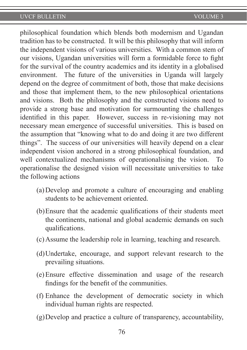philosophical foundation which blends both modernism and Ugandan tradition has to be constructed. It will be this philosophy that will inform the independent visions of various universities. With a common stem of our visions, Ugandan universities will form a formidable force to fight for the survival of the country academics and its identity in a globalised environment. The future of the universities in Uganda will largely depend on the degree of commitment of both, those that make decisions and those that implement them, to the new philosophical orientations and visions. Both the philosophy and the constructed visions need to provide a strong base and motivation for surmounting the challenges identified in this paper. However, success in re-visioning may not necessary mean emergence of successful universities. This is based on the assumption that "knowing what to do and doing it are two different things". The success of our universities will heavily depend on a clear independent vision anchored in a strong philosophical foundation, and well contextualized mechanisms of operationalising the vision. To operationalise the designed vision will necessitate universities to take the following actions

- (a)Develop and promote a culture of encouraging and enabling students to be achievement oriented.
- (b)Ensure that the academic qualifications of their students meet the continents, national and global academic demands on such qualifications.
- (c)Assume the leadership role in learning, teaching and research.
- (d)Undertake, encourage, and support relevant research to the prevailing situations.
- (e)Ensure effective dissemination and usage of the research findings for the benefit of the communities.
- (f) Enhance the development of democratic society in which individual human rights are respected.
- (g)Develop and practice a culture of transparency, accountability,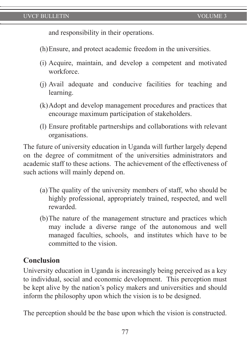and responsibility in their operations.

- (h)Ensure, and protect academic freedom in the universities.
- (i) Acquire, maintain, and develop a competent and motivated workforce.
- (j) Avail adequate and conducive facilities for teaching and learning.
- (k)Adopt and develop management procedures and practices that encourage maximum participation of stakeholders.
- (l) Ensure profitable partnerships and collaborations with relevant organisations.

The future of university education in Uganda will further largely depend on the degree of commitment of the universities administrators and academic staff to these actions. The achievement of the effectiveness of such actions will mainly depend on.

- (a)The quality of the university members of staff, who should be highly professional, appropriately trained, respected, and well rewarded.
- (b)The nature of the management structure and practices which may include a diverse range of the autonomous and well managed faculties, schools, and institutes which have to be committed to the vision.

# **Conclusion**

University education in Uganda is increasingly being perceived as a key to individual, social and economic development. This perception must be kept alive by the nation's policy makers and universities and should inform the philosophy upon which the vision is to be designed.

The perception should be the base upon which the vision is constructed.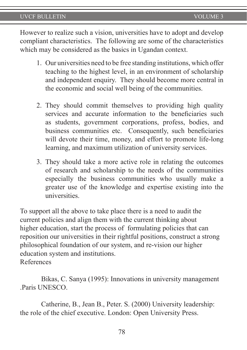However to realize such a vision, universities have to adopt and develop compliant characteristics. The following are some of the characteristics which may be considered as the basics in Ugandan context.

- 1. Our universities need to be free standing institutions, which offer teaching to the highest level, in an environment of scholarship and independent enquiry. They should become more central in the economic and social well being of the communities.
- 2. They should commit themselves to providing high quality services and accurate information to the beneficiaries such as students, government corporations, profess, bodies, and business communities etc. Consequently, such beneficiaries will devote their time, money, and effort to promote life-long learning, and maximum utilization of university services.
- 3. They should take a more active role in relating the outcomes of research and scholarship to the needs of the communities especially the business communities who usually make a greater use of the knowledge and expertise existing into the universities.

To support all the above to take place there is a need to audit the current policies and align them with the current thinking about higher education, start the process of formulating policies that can reposition our universities in their rightful positions, construct a strong philosophical foundation of our system, and re-vision our higher education system and institutions. References

Bikas, C. Sanya (1995): Innovations in university management .Paris UNESCO.

Catherine, B., Jean B., Peter. S. (2000) University leadership: the role of the chief executive. London: Open University Press.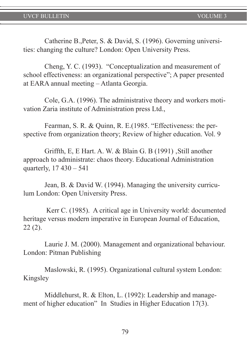Catherine B.,Peter, S. & David, S. (1996). Governing universities: changing the culture? London: Open University Press.

Cheng, Y. C. (1993). "Conceptualization and measurement of school effectiveness: an organizational perspective"; A paper presented at EARA annual meeting – Atlanta Georgia.

Cole, G.A. (1996). The administrative theory and workers motivation Zaria institute of Administration press Ltd.,

Fearman, S. R. & Quinn, R. E.(1985. "Effectiveness: the perspective from organization theory; Review of higher education. Vol. 9

Griffth, E, E Hart. A. W.  $&$  Blain G. B (1991)  $&$  Still another approach to administrate: chaos theory. Educational Administration quarterly, 17 430 – 541

Jean, B. & David W. (1994). Managing the university curriculum London: Open University Press.

 Kerr C. (1985). A critical age in University world: documented heritage versus modern imperative in European Journal of Education, 22 (2).

Laurie J. M. (2000). Management and organizational behaviour. London: Pitman Publishing

Maslowski, R. (1995). Organizational cultural system London: Kingsley

Middlehurst, R. & Elton, L. (1992): Leadership and management of higher education" In Studies in Higher Education 17(3).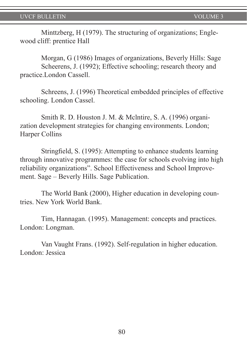Minttzberg, H (1979). The structuring of organizations; Englewood cliff: prentice Hall

Morgan, G (1986) Images of organizations, Beverly Hills: Sage Scheerens, J. (1992); Effective schooling; research theory and practice.London Cassell.

Schreens, J. (1996) Theoretical embedded principles of effective schooling. London Cassel.

Smith R. D. Houston J. M. & Mclntire, S. A. (1996) organization development strategies for changing environments. London; Harper Collins

Stringfield, S. (1995): Attempting to enhance students learning through innovative programmes: the case for schools evolving into high reliability organizations". School Effectiveness and School Improvement. Sage – Beverly Hills. Sage Publication.

The World Bank (2000), Higher education in developing countries. New York World Bank.

Tim, Hannagan. (1995). Management: concepts and practices. London: Longman.

Van Vaught Frans. (1992). Self-regulation in higher education. London: Jessica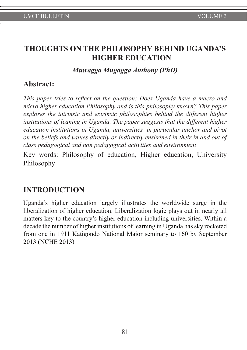# **THOUGHTS ON THE PHILOSOPHY BEHIND UGANDA'S HIGHER EDUCATION**

#### *Muwagga Mugagga Anthony (PhD)*

## **Abstract:**

*This paper tries to reflect on the question: Does Uganda have a macro and micro higher education Philosophy and is this philosophy known? This paper explores the intrinsic and extrinsic philosophies behind the different higher institutions of leaning in Uganda. The paper suggests that the different higher education institutions in Uganda, universities in particular anchor and pivot on the beliefs and values directly or indirectly enshrined in their in and out of class pedagogical and non pedagogical activities and environment* 

Key words: Philosophy of education, Higher education, University Philosophy

# **INTRODUCTION**

Uganda's higher education largely illustrates the worldwide surge in the liberalization of higher education. Liberalization logic plays out in nearly all matters key to the country's higher education including universities. Within a decade the number of higher institutions of learning in Uganda has sky rocketed from one in 1911 Katigondo National Major seminary to 160 by September 2013 (NCHE 2013)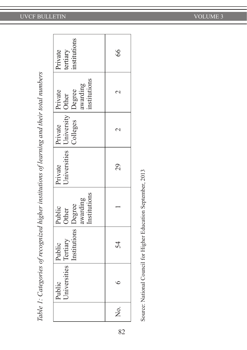| )                                                                                     |
|---------------------------------------------------------------------------------------|
|                                                                                       |
|                                                                                       |
|                                                                                       |
|                                                                                       |
|                                                                                       |
|                                                                                       |
|                                                                                       |
| シー ラフュニラライバ ろころ プラワマ                                                                  |
|                                                                                       |
|                                                                                       |
|                                                                                       |
|                                                                                       |
|                                                                                       |
|                                                                                       |
|                                                                                       |
|                                                                                       |
|                                                                                       |
|                                                                                       |
|                                                                                       |
|                                                                                       |
| )                                                                                     |
|                                                                                       |
|                                                                                       |
|                                                                                       |
|                                                                                       |
|                                                                                       |
|                                                                                       |
| )                                                                                     |
|                                                                                       |
|                                                                                       |
| きうてう シー・ファン こうりくこうすう こうてこう こうこう                                                       |
|                                                                                       |
|                                                                                       |
|                                                                                       |
|                                                                                       |
|                                                                                       |
|                                                                                       |
|                                                                                       |
| )                                                                                     |
|                                                                                       |
|                                                                                       |
| Ì                                                                                     |
|                                                                                       |
|                                                                                       |
|                                                                                       |
|                                                                                       |
| le 1: Categories of recognized higher institutions of learning and their total numbe. |

|        |                                 |                                 |                                                               |                                              |                     | Table 1: Categories of recognized higher institutions of learning and their total numbers |                                     |  |
|--------|---------------------------------|---------------------------------|---------------------------------------------------------------|----------------------------------------------|---------------------|-------------------------------------------------------------------------------------------|-------------------------------------|--|
|        | Universities Tertiary<br>Public | Institutions   Degree<br>Public | Institutions<br>awarding<br>Public<br>Other                   | Jniversities   University   Other<br>Private | Colleges<br>Private | institutions<br>awarding<br>Degree<br>Private                                             | institutions<br>tertiary<br>Private |  |
| ,<br>Z |                                 | 54                              |                                                               | 29                                           | $\mathrel{\sim}$    |                                                                                           | 8 <sup>9</sup>                      |  |
|        |                                 |                                 | Source: National Council for Higher Education September, 2013 |                                              |                     |                                                                                           |                                     |  |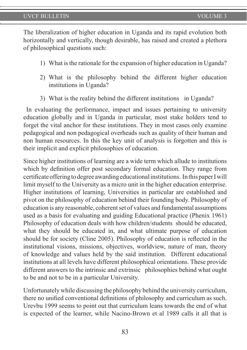The liberalization of higher education in Uganda and its rapid evolution both horizontally and vertically, though desirable, has raised and created a plethora of philosophical questions such:

- 1) What is the rationale for the expansion of higher education in Uganda?
- 2) What is the philosophy behind the different higher education institutions in Uganda?
- 3) What is the reality behind the different institutions in Uganda?

 In evaluating the performance, impact and issues pertaining to university education globally and in Uganda in particular, most stake holders tend to forget the vital anchor for these institutions. They in most cases only examine pedagogical and non pedagogical overheads such as quality of their human and non human resources. In this the key unit of analysis is forgotten and this is their implicit and explicit philosophies of education.

Since higher institutions of learning are a wide term which allude to institutions which by definition offer post secondary formal education. They range from certificate offering to degree awarding educational institutions. In this paper I will limit myself to the University as a micro unit in the higher education enterprise. Higher institutions of learning, Universities in particular are established and pivot on the philosophy of education behind their founding body. Philosophy of education is any reasonable, coherent set of values and fundamental assumptions used as a basis for evaluating and guiding Educational practice (Phenix 1961) Philosophy of education deals with how children/students should be educated, what they should be educated in, and what ultimate purpose of education should be for society (Cline 2005). Philosophy of education is reflected in the institutional visions, missions, objectives, worldview, nature of man, theory of knowledge and values held by the said institution. Different educational institutions at all levels have different philosophical orientations. These provide different answers to the intrinsic and extrinsic philosophies behind what ought to be and not to be in a particular University.

Unfortunately while discussing the philosophy behind the university curriculum, there no unified conventional definitions of philosophy and curriculum as such. Urevbu 1999 seems to point out that curriculum leans towards the end of what is expected of the learner, while Nacino-Brown et al 1989 calls it all that is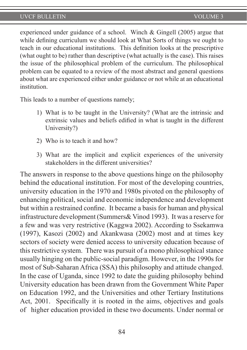experienced under guidance of a school. Winch & Gingell (2005) argue that while defining curriculum we should look at What Sorts of things we ought to teach in our educational institutions. This definition looks at the prescriptive (what ought to be) rather than descriptive (what actually is the case). This raises the issue of the philosophical problem of the curriculum. The philosophical problem can be equated to a review of the most abstract and general questions about what are experienced either under guidance or not while at an educational *institution* 

This leads to a number of questions namely;

- 1) What is to be taught in the University? (What are the intrinsic and extrinsic values and beliefs edified in what is taught in the different University?)
- 2) Who is to teach it and how?
- 3) What are the implicit and explicit experiences of the university stakeholders in the different universities?

The answers in response to the above questions hinge on the philosophy behind the educational institution. For most of the developing countries, university education in the 1970 and 1980s pivoted on the philosophy of enhancing political, social and economic independence and development but within a restrained confine. It became a basis for human and physical infrastructure development (Summers& Vinod 1993). It was a reserve for a few and was very restrictive (Kaggwa 2002). According to Ssekamwa (1997), Kasozi (2002) and Akankwasa (2002) most and at times key sectors of society were denied access to university education because of this restrictive system. There was pursuit of a mono philosophical stance usually hinging on the public-social paradigm. However, in the 1990s for most of Sub-Saharan Africa (SSA) this philosophy and attitude changed. In the case of Uganda, since 1992 to date the guiding philosophy behind University education has been drawn from the Government White Paper on Education 1992, and the Universities and other Tertiary Institutions Act, 2001. Specifically it is rooted in the aims, objectives and goals of higher education provided in these two documents. Under normal or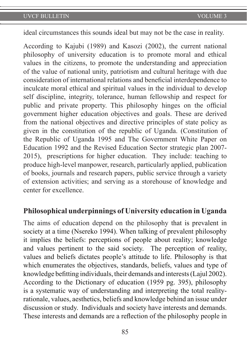ideal circumstances this sounds ideal but may not be the case in reality.

According to Kajubi (1989) and Kasozi (2002), the current national philosophy of university education is to promote moral and ethical values in the citizens, to promote the understanding and appreciation of the value of national unity, patriotism and cultural heritage with due consideration of international relations and beneficial interdependence to inculcate moral ethical and spiritual values in the individual to develop self discipline, integrity, tolerance, human fellowship and respect for public and private property. This philosophy hinges on the official government higher education objectives and goals. These are derived from the national objectives and directive principles of state policy as given in the constitution of the republic of Uganda. (Constitution of the Republic of Uganda 1995 and The Government White Paper on Education 1992 and the Revised Education Sector strategic plan 2007- 2015), prescriptions for higher education. They include: teaching to produce high-level manpower, research, particularly applied, publication of books, journals and research papers, public service through a variety of extension activities; and serving as a storehouse of knowledge and center for excellence.

#### **Philosophical underpinnings of University education in Uganda**

The aims of education depend on the philosophy that is prevalent in society at a time (Nsereko 1994). When talking of prevalent philosophy it implies the beliefs: perceptions of people about reality; knowledge and values pertinent to the said society. The perception of reality, values and beliefs dictates people's attitude to life. Philosophy is that which enumerates the objectives, standards, beliefs, values and type of knowledge befitting individuals, their demands and interests (Lajul 2002). According to the Dictionary of education (1959 pg. 395), philosophy is a systematic way of understanding and interpreting the total realityrationale, values, aesthetics, beliefs and knowledge behind an issue under discussion or study. Individuals and society have interests and demands. These interests and demands are a reflection of the philosophy people in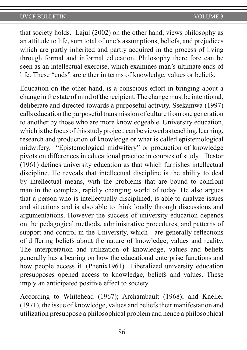that society holds. Lajul (2002) on the other hand, views philosophy as an attitude to life, sum total of one's assumptions, beliefs, and prejudices which are partly inherited and partly acquired in the process of living through formal and informal education. Philosophy there fore can be seen as an intellectual exercise, which examines man's ultimate ends of life. These "ends" are either in terms of knowledge, values or beliefs.

Education on the other hand, is a conscious effort in bringing about a change in the state of mind of the recipient. The change must be intentional, deliberate and directed towards a purposeful activity. Ssekamwa (1997) calls education the purposeful transmission of culture from one generation to another by those who are more knowledgeable. University education, which is the focus of this study project, can be viewed as teaching, learning, research and production of knowledge or what is called epistemological midwifery. "Epistemological midwifery" or production of knowledge pivots on differences in educational practice in courses of study. Bestor (1961) defines university education as that which furnishes intellectual discipline. He reveals that intellectual discipline is the ability to deal by intellectual means, with the problems that are bound to confront man in the complex, rapidly changing world of today. He also argues that a person who is intellectually disciplined, is able to analyze issues and situations and is also able to think loudly through discussions and argumentations. However the success of university education depends on the pedagogical methods, administrative procedures, and patterns of support and control in the University, which are generally reflections of differing beliefs about the nature of knowledge, values and reality. The interpretation and utilization of knowledge, values and beliefs generally has a bearing on how the educational enterprise functions and how people access it. (Phenix1961) Liberalized university education presupposes opened access to knowledge, beliefs and values. These imply an anticipated positive effect to society.

According to Whitehead (1967); Archambault (1968); and Kneller (1971), the issue of knowledge, values and beliefs their manifestation and utilization presuppose a philosophical problem and hence a philosophical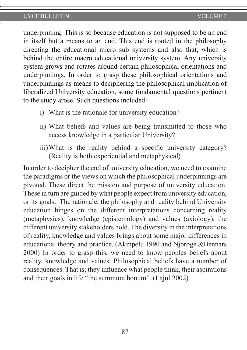underpinning. This is so because education is not supposed to be an end in itself but a means to an end. This end is rooted in the philosophy directing the educational micro sub systems and also that, which is behind the entire macro educational university system. Any university system grows and rotates around certain philosophical orientations and underpinnings. In order to grasp these philosophical orientations and underpinnings as means to deciphering the philosophical implication of liberalized University education, some fundamental questions pertinent to the study arose. Such questions included:

- i) What is the rationale for university education?
- ii) What beliefs and values are being transmitted to those who access knowledge in a particular University?
- iii)What is the reality behind a specific university category? (Reality is both experiential and metaphysical)

In order to decipher the end of university education, we need to examine the paradigms or the views on which the philosophical underpinnings are pivoted. These direct the mission and purpose of university education. These in turn are guided by what people expect from university education, or its goals. The rationale, the philosophy and reality behind University education hinges on the different interpretations concerning reality (metaphysics), knowledge (epistemology) and values (axiology), the different university stakeholders hold. The diversity in the interpretations of reality, knowledge and values brings about some major differences in educational theory and practice. (Akinpelu 1990 and Njoroge &Bennars 2000) In order to grasp this, we need to know peoples beliefs about reality, knowledge and values. Philosophical beliefs have a number of consequences. That is; they influence what people think, their aspirations and their goals in life "the summum bonum". (Lajul 2002)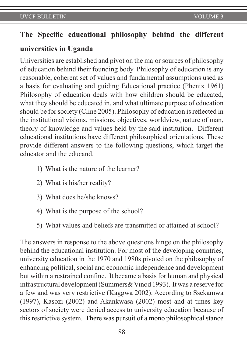# **The Specific educational philosophy behind the different**

# **universities in Uganda**.

Universities are established and pivot on the major sources of philosophy of education behind their founding body. Philosophy of education is any reasonable, coherent set of values and fundamental assumptions used as a basis for evaluating and guiding Educational practice (Phenix 1961) Philosophy of education deals with how children should be educated, what they should be educated in, and what ultimate purpose of education should be for society (Cline 2005). Philosophy of education is reflected in the institutional visions, missions, objectives, worldview, nature of man, theory of knowledge and values held by the said institution. Different educational institutions have different philosophical orientations. These provide different answers to the following questions, which target the educator and the educand.

- 1) What is the nature of the learner?
- 2) What is his/her reality?
- 3) What does he/she knows?
- 4) What is the purpose of the school?
- 5) What values and beliefs are transmitted or attained at school?

The answers in response to the above questions hinge on the philosophy behind the educational institution. For most of the developing countries, university education in the 1970 and 1980s pivoted on the philosophy of enhancing political, social and economic independence and development but within a restrained confine. It became a basis for human and physical infrastructural development (Summers& Vinod 1993). It was a reserve for a few and was very restrictive (Kaggwa 2002). According to Ssekamwa (1997), Kasozi (2002) and Akankwasa (2002) most and at times key sectors of society were denied access to university education because of this restrictive system. There was pursuit of a mono philosophical stance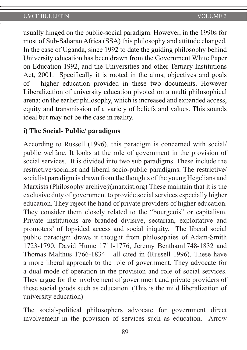usually hinged on the public-social paradigm. However, in the 1990s for most of Sub-Saharan Africa (SSA) this philosophy and attitude changed. In the case of Uganda, since 1992 to date the guiding philosophy behind University education has been drawn from the Government White Paper on Education 1992, and the Universities and other Tertiary Institutions Act, 2001. Specifically it is rooted in the aims, objectives and goals of higher education provided in these two documents. However Liberalization of university education pivoted on a multi philosophical arena: on the earlier philosophy, which is increased and expanded access, equity and transmission of a variety of beliefs and values. This sounds ideal but may not be the case in reality.

## **i) The Social- Public/ paradigms**

According to Russell (1996), this paradigm is concerned with social/ public welfare. It looks at the role of government in the provision of social services. It is divided into two sub paradigms. These include the restrictive/socialist and liberal socio-public paradigms. The restrictive/ socialist paradigm is drawn from the thoughts of the young Hegelians and Marxists (Philosophy archive $(\partial_t)$  marxist.org) These maintain that it is the exclusive duty of government to provide social services especially higher education. They reject the hand of private providers of higher education. They consider them closely related to the "bourgeois" or capitalism. Private institutions are branded divisive, sectarian, exploitative and promoters' of lopsided access and social iniquity. The liberal social public paradigm draws it thought from philosophies of Adam-Smith 1723-1790, David Hume 1711-1776, Jeremy Bentham1748-1832 and Thomas Malthus 1766-1834 all cited in (Russell 1996). These have a more liberal approach to the role of government. They advocate for a dual mode of operation in the provision and role of social services. They argue for the involvement of government and private providers of these social goods such as education. (This is the mild liberalization of university education)

The social-political philosophers advocate for government direct involvement in the provision of services such as education. Arrow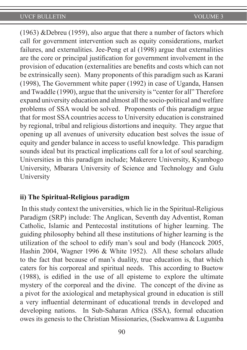(1963) &Debreu (1959), also argue that there a number of factors which call for government intervention such as equity considerations, market failures, and externalities. Jee-Peng et al (1998) argue that externalities are the core or principal justification for government involvement in the provision of education (externalities are benefits and costs which can not be extrinsically seen). Many proponents of this paradigm such as Karani (1998), The Government white paper (1992) in case of Uganda, Hansen and Twaddle (1990), argue that the university is "center for all" Therefore expand university education and almost all the socio-political and welfare problems of SSA would be solved. Proponents of this paradigm argue that for most SSA countries access to University education is constrained by regional, tribal and religious distortions and inequity. They argue that opening up all avenues of university education best solves the issue of equity and gender balance in access to useful knowledge. This paradigm sounds ideal but its practical implications call for a lot of soul searching. Universities in this paradigm include; Makerere University, Kyambogo University, Mbarara University of Science and Technology and Gulu University

#### **ii) The Spiritual-Religious paradigm**

In this study context the universities, which lie in the Spiritual-Religious Paradigm (SRP) include: The Anglican, Seventh day Adventist, Roman Catholic, Islamic and Pentecostal institutions of higher learning. The guiding philosophy behind all these institutions of higher learning is the utilization of the school to edify man's soul and body (Hancock 2005, Hashin 2004, Wagner 1996 & White 1952). All these scholars allude to the fact that because of man's duality, true education is, that which caters for his corporeal and spiritual needs. This according to Buetow (1988), is edified in the use of all episteme to explore the ultimate mystery of the corporeal and the divine. The concept of the divine as a pivot for the axiological and metaphysical ground in education is still a very influential determinant of educational trends in developed and developing nations. In Sub-Saharan Africa (SSA), formal education owes its genesis to the Christian Missionaries, (Ssekwamwa & Lugumba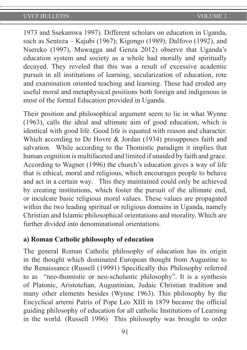1973 and Ssekamwa 1997). Different scholars on education in Uganda, such as Senteza – Kajubi (1967); Kigongo (1989); Dalfovo (1992), and Nsereko (1997), Muwagga and Genza 2012) observe that Uganda's education system and society as a whole had morally and spiritually decayed. They reveled that this was a result of excessive academic pursuit in all institutions of learning, secularization of education, rote and examination oriented teaching and learning. These had eroded any useful moral and metaphysical positions both foreign and indigenous in most of the formal Education provided in Uganda.

Their position and philosophical argument seem to lie in what Wynne (1963), calls the ideal and ultimate aim of good education, which is identical with good life. Good life is equated with reason and character. Which according to De Hovre & Jordan (1934) presupposes faith and salvation. While according to the Thomistic paradigm it implies that human cognition is multifaceted and limited if unaided by faith and grace. According to Wagner (1996) the church's education gives a way of life that is ethical, moral and religious, which encourages people to behave and act in a certain way. This they maintained could only be achieved by creating institutions, which foster the pursuit of the ultimate end, or inculcate basic religious moral values. These values are propagated within the two leading spiritual or religious domains in Uganda, namely Christian and Islamic philosophical orientations and morality. Which are further divided into denominational orientations.

#### **a) Roman Catholic philosophy of education**

The general Roman Catholic philosophy of education has its origin in the thought which dominated European thought from Augustine to the Renaissance (Russell (19991) Specifically this Philosophy referred to as "neo-thomistic or neo-scholastic philosophy". It is a synthesis of Platonic, Aristotelian, Augustinian, Judaic Christian tradition and many other elements besides (Wynne 1963). This philosophy by the Encyclical arterni Patris of Pope Leo XIII in 1879 became the official guiding philosophy of education for all catholic Institutions of Learning in the world. (Russell 1996) This philosophy was brought to order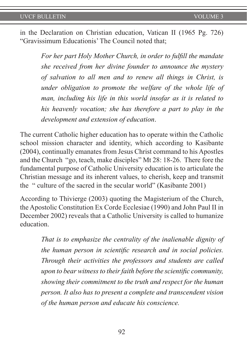in the Declaration on Christian education, Vatican II (1965 Pg. 726) "Gravissimum Educationis' The Council noted that;

> *For her part Holy Mother Church, in order to fulfill the mandate she received from her divine founder to announce the mystery of salvation to all men and to renew all things in Christ, is under obligation to promote the welfare of the whole life of man, including his life in this world insofar as it is related to his heavenly vocation; she has therefore a part to play in the development and extension of education*.

The current Catholic higher education has to operate within the Catholic school mission character and identity, which according to Kasibante (2004), continually emanates from Jesus Christ command to his Apostles and the Church "go, teach, make disciples" Mt 28: 18-26. There fore the fundamental purpose of Catholic University education is to articulate the Christian message and its inherent values, to cherish, keep and transmit the " culture of the sacred in the secular world" (Kasibante 2001)

According to Thivierge (2003) quoting the Magisterium of the Church, the Apostolic Constitution Ex Corde Ecclesiae (1990) and John Paul II in December 2002) reveals that a Catholic University is called to humanize education.

> *That is to emphasize the centrality of the inalienable dignity of the human person in scientific research and in social policies. Through their activities the professors and students are called upon to bear witness to their faith before the scientific community, showing their commitment to the truth and respect for the human person. It also has to present a complete and transcendent vision of the human person and educate his conscience.*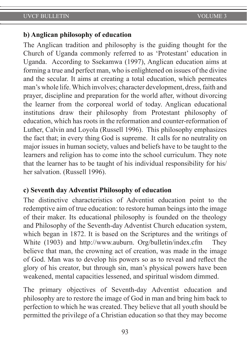#### **b) Anglican philosophy of education**

The Anglican tradition and philosophy is the guiding thought for the Church of Uganda commonly referred to as 'Protestant' education in Uganda. According to Ssekamwa (1997), Anglican education aims at forming a true and perfect man, who is enlightened on issues of the divine and the secular. It aims at creating a total education, which permeates man's whole life. Which involves; character development, dress, faith and prayer, discipline and preparation for the world after, without divorcing the learner from the corporeal world of today. Anglican educational institutions draw their philosophy from Protestant philosophy of education, which has roots in the reformation and counter-reformation of Luther, Calvin and Loyola (Russell 1996). This philosophy emphasizes the fact that; in every thing God is supreme. It calls for no neutrality on major issues in human society, values and beliefs have to be taught to the learners and religion has to come into the school curriculum. They note that the learner has to be taught of his individual responsibility for his/ her salvation. (Russell 1996).

#### **c) Seventh day Adventist Philosophy of education**

The distinctive characteristics of Adventist education point to the redemptive aim of true education: to restore human beings into the image of their maker. Its educational philosophy is founded on the theology and Philosophy of the Seventh-day Adventist Church education system, which began in 1872. It is based on the Scriptures and the writings of White (1903) and http://www.auburn. Org/bulletin/index.cfm They believe that man, the crowning act of creation, was made in the image of God. Man was to develop his powers so as to reveal and reflect the glory of his creator, but through sin, man's physical powers have been weakened, mental capacities lessened, and spiritual wisdom dimmed.

The primary objectives of Seventh-day Adventist education and philosophy are to restore the image of God in man and bring him back to perfection to which he was created. They believe that all youth should be permitted the privilege of a Christian education so that they may become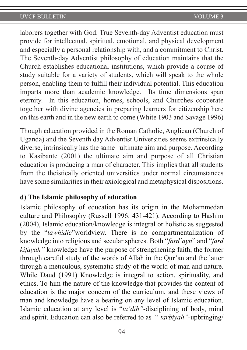laborers together with God. True Seventh-day Adventist education must provide for intellectual, spiritual, emotional, and physical development and especially a personal relationship with, and a commitment to Christ. The Seventh-day Adventist philosophy of education maintains that the Church establishes educational institutions, which provide a course of study suitable for a variety of students, which will speak to the whole person, enabling them to fulfill their individual potential. This education imparts more than academic knowledge. Its time dimensions span eternity. In this education, homes, schools, and Churches cooperate together with divine agencies in preparing learners for citizenship here on this earth and in the new earth to come (White 1903 and Savage 1996)

Though **e**ducation provided in the Roman Catholic, Anglican (Church of Uganda) and the Seventh day Adventist Universities seems extrinsically diverse, intrinsically has the same ultimate aim and purpose. According to Kasibante (2001) the ultimate aim and purpose of all Christian education is producing a man of character. This implies that all students from the theistically oriented universities under normal circumstances have some similarities in their axiological and metaphysical dispositions.

#### **d) The Islamic philosophy of education**

Islamic philosophy of education has its origin in the Mohammedan culture and Philosophy (Russell 1996: 431-421). According to Hashim (2004), Islamic education/knowledge is integral or holistic as suggested by the "*tawhidic*"worldview. There is no compartmentalization of knowledge into religious and secular spheres. Both "*fard`ayn*" and "*fard kifayah"* knowledge have the purpose of strengthening faith, the former through careful study of the words of Allah in the Qur'an and the latter through a meticulous, systematic study of the world of man and nature. While Daud (1991) Knowledge is integral to action, spirituality, and ethics. To him the nature of the knowledge that provides the content of education is the major concern of the curriculum, and these views of man and knowledge have a bearing on any level of Islamic education. Islamic education at any level is "*ta'dib"-*disciplining of body, mind and spirit. Education can also be referred to as " *tarbiyah"-*upbringing/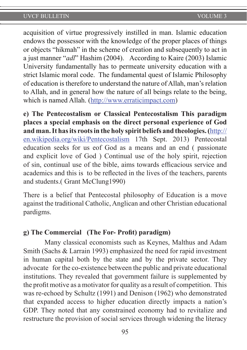acquisition of virtue progressively instilled in man. Islamic education endows the possessor with the knowledge of the proper places of things or objects "hikmah" in the scheme of creation and subsequently to act in a just manner "*adl*" Hashim (2004). According to Kaire (2003) Islamic University fundamentally has to permeate university education with a strict Islamic moral code. The fundamental quest of Islamic Philosophy of education is therefore to understand the nature of Allah, man's relation to Allah, and in general how the nature of all beings relate to the being, which is named Allah. (http://www.erraticimpact.com)

**e) The Pentecostalism or Classical Pentecostalism This paradigm places a special emphasis on the direct personal experience of God and man. It has its roots in the holy spirit beliefs and theologies. (**http:// en.wikipedia.org/wiki/Pentecostalism 17th Sept. 2013) Pentecostal education seeks for us eof God as a means and an end ( passionate and explicit love of God ) Continual use of the holy spirit, rejection of sin, continual use of the bible, aims towards efficacious service and academics and this is to be reflected in the lives of the teachers, parents and students.( Grant McClung1990)

There is a belief that Pentecostal philosophy of Education is a move against the traditional Catholic, Anglican and other Christian educational pardigms.

#### **g) The Commercial (The For- Profit) paradigm)**

Many classical economists such as Keynes, Malthus and Adam Smith (Sachs & Larrain 1993) emphasized the need for rapid investment in human capital both by the state and by the private sector. They advocate for the co-existence between the public and private educational institutions. They revealed that government failure is supplemented by the profit motive as a motivator for quality as a result of competition. This was re-echoed by Schultz (1991) and Denison (1962) who demonstrated that expanded access to higher education directly impacts a nation's GDP. They noted that any constrained economy had to revitalize and restructure the provision of social services through widening the literacy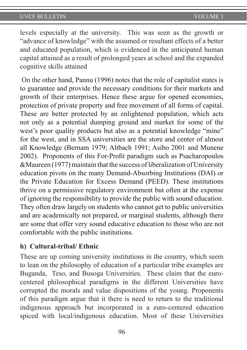levels especially at the university. This was seen as the growth or "advance of knowledge" with the assumed or resultant effects of a better and educated population, which is evidenced in the anticipated human capital attained as a result of prolonged years at school and the expanded cognitive skills attained

 On the other hand, Pannu (1996) notes that the role of capitalist states is to guarantee and provide the necessary conditions for their markets and growth of their enterprises. Hence these argue for opened economies, protection of private property and free movement of all forms of capital. These are better protected by an enlightened population, which acts not only as a potential dumping ground and market for some of the west's poor quality products but also as a potential knowledge "mine" for the west, and in SSA universities are the store and center of almost all Knowledge (Bernam 1979; Altbach 1991; Asibo 2001 and Munene 2002). Proponents of this For-Profit paradigm such as Psacharopoulos &Maureen (1977) maintain that the success of liberalization of University education pivots on the many Demand-Absorbing Institutions (DAI) or the Private Education for Excess Demand (PEED). These institutions thrive on a permissive regulatory environment but often at the expense of ignoring the responsibility to provide the public with sound education. They often draw largely on students who cannot get to public universities and are academically not prepared, or marginal students, although there are some that offer very sound educative education to those who are not comfortable with the public institutions.

#### **h) Cultural-tribal/ Ethnic**

These are up coming university institutions in the country, which seem to lean on the philosophy of education of a particular tribe examples are Buganda, Teso, and Busoga Universities. These claim that the eurocentered philosophical paradigms in the different Universities have corrupted the morals and value dispositions of the young. Proponents of this paradigm argue that it there is need to return to the traditional indigenous approach but incorporated in a euro-centered education spiced with local/indigenous education. Most of these Universities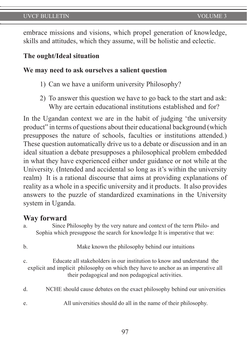embrace missions and visions, which propel generation of knowledge, skills and attitudes, which they assume, will be holistic and eclectic.

#### **The ought/Ideal situation**

#### **We may need to ask ourselves a salient question**

- 1) Can we have a uniform university Philosophy?
- 2) To answer this question we have to go back to the start and ask: Why are certain educational institutions established and for?

In the Ugandan context we are in the habit of judging 'the university product" in terms of questions about their educational background (which presupposes the nature of schools, faculties or institutions attended.) These question automatically drive us to a debate or discussion and in an ideal situation a debate presupposes a philosophical problem embedded in what they have experienced either under guidance or not while at the University. (Intended and accidental so long as it's within the university realm) It is a rational discourse that aims at providing explanations of reality as a whole in a specific university and it products. It also provides answers to the puzzle of standardized examinations in the University system in Uganda.

#### **Way forward**

| Since Philosophy by the very nature and context of the term Philo- and     |
|----------------------------------------------------------------------------|
| Sophia which presuppose the search for knowledge It is imperative that we: |

- b. Make known the philosophy behind our intuitions
- c. Educate all stakeholders in our institution to know and understand the explicit and implicit philosophy on which they have to anchor as an imperative all their pedagogical and non pedagogical activities.
- d. NCHE should cause debates on the exact philosophy behind our universities
- e. All universities should do all in the name of their philosophy.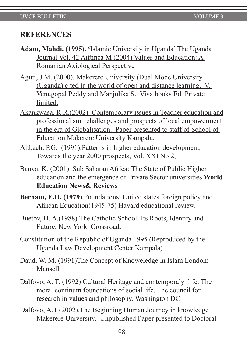#### **REFERENCES**

- **Adam, Mahdi. (1995). '**Islamic University in Uganda' The Uganda Journal Vol. 42 Aiftinca M (2004) Values and Education: A Romanian Axiological Perspective
- Aguti, J.M. (2000). Makerere University (Dual Mode University (Uganda) cited in the world of open and distance learning. V. Venugopal Peddy and Manjulika S. Viva books Ed. Private limited.
- Akankwasa, R.R.(2002). Contemporary issues in Teacher education and professionalism. challenges and prospects of local empowerment in the era of Globalisation. Paper presented to staff of School of Education Makerere University Kampala.
- Altbach, P.G. (1991).Patterns in higher education development. Towards the year 2000 prospects, Vol. XXI No 2,
- Banya, K. (2001). Sub Saharan Africa: The State of Public Higher education and the emergence of Private Sector universities **World Education News& Reviews**
- **Bernam, E.H. (1979)** Foundations: United states foreign policy and African Education(1945-75) Havard educational review.
- Buetov, H. A.(1988) The Catholic School: Its Roots, Identity and Future. New York: Crossroad.
- Constitution of the Republic of Uganda 1995 (Reproduced by the Uganda Law Development Center Kampala)
- Daud, W. M. (1991)The Concept of Knoweledge in Islam London: Mansell.
- Dalfovo, A. T. (1992) Cultural Heritage and contemporaly life. The moral continum foundations of social life. The council for research in values and philosophy. Washington DC
- Dalfovo, A.T (2002).The Beginning Human Journey in knowledge Makerere University. Unpublished Paper presented to Doctoral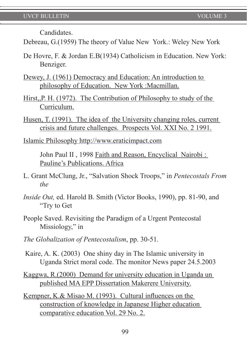**Candidates** 

Debreau, G.(1959) The theory of Value New York.: Weley New York

- De Hovre, F. & Jordan E.B(1934) Catholicism in Education. New York: Benziger.
- Dewey, J. (1961) Democracy and Education: An introduction to philosophy of Education. New York :Macmillan.
- Hirst,,P. H. (1972). The Contribution of Philosophy to study of the Curriculum.
- Husen, T. (1991). The idea of the University changing roles, current crisis and future challenges. Prospects Vol. XXI No. 2 1991.

Islamic Philosophy http://www.eraticimpact.com

John Paul II , 1998 Faith and Reason, Encyclical Nairobi : Pauline's Publications. Africa

- L. Grant McClung, Jr., "Salvation Shock Troops," in *Pentecostals From the*
- *Inside Out,* ed. Harold B. Smith (Victor Books, 1990), pp. 81-90, and "Try to Get
- People Saved. Revisiting the Paradigm of a Urgent Pentecostal Missiology," in
- *The Globalization of Pentecostalism*, pp. 30-51.
- Kaire, A. K. (2003) One shiny day in The Islamic university in Uganda Strict moral code. The monitor News paper 24.5.2003

Kaggwa, R.(2000) Demand for university education in Uganda un published MA EPP Dissertation Makerere University.

Kempner, K.& Misao M. (1993). Cultural influences on the construction of knowledge in Japanese Higher education comparative education Vol. 29 No. 2.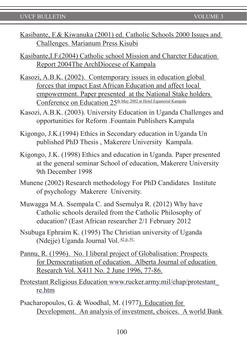Kasibante, F.& Kiwanuka (2001) ed. Catholic Schools 2000 Issues and Challenges. Marianum Press Kisubi

Kasibante,I.F.(2004) Catholic school Mission and Charcter Education Report 2004The ArchDiocese of Kampala

- Kasozi, A.B.K. (2002). Contemporary issues in education global forces that impact East African Education and affect local empowerment. Paper presented at the National Stake holders Conference on Education 25th May 2002 at Hotel Equatorial Kampala
- Kasozi, A.B.K. (2003). University Education in Uganda Challenges and opportunities for Reform .Fountain Publishers Kampala
- Kigongo, J.K.(1994) Ethics in Secondary education in Uganda Un published PhD Thesis , Makerere University Kampala.
- Kigongo, J.K. (1998) Ethics and education in Uganda. Paper presented at the general seminar School of education, Makerere University 9th December 1998
- Munene (2002) Research methodology For PhD Candidates Institute of psychology Makerere University.
- Muwagga M.A. Ssempala C. and Ssemulya R. (2012) Why have Catholic schools derailed from the Catholic Philosophy of education? (East African researcher 2/1 February 2012
- Nsubuga Ephraim K. (1995) The Christian university of Uganda (Ndejje) Uganda Journal Vol. 42 p. 91.
- Pannu, R. (1996). No. I liberal project of Globalisation: Prospects for Democratisation of education. Alberta Journal of education Research Vol. X411 No. 2 June 1996, 77-86.

Protestant Religious Education www.rucker.army.mil/chap/protestant\_ re.htm

Psacharopoulos, G. & Woodhal, M. (1977). Education for Development. An analysis of investment, choices. A world Bank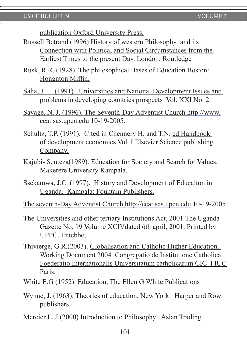publication Oxford University Press.

- Russell Betrand (1996) History of western Philosophy and its Connection with Political and Social Circumstances from the Earliest Times to the present Day. London: Routledge
- Rusk, R.R. (1928). The philosophical Bases of Education Boston: Hongnton Miffin.
- Saha, J. L. (1991). Universities and National Development Issues and problems in developing countries prospects Vol. XXI No. 2.
- Savage, N..J. (1996). The Seventh-Day Adventist Church http://www. ccat.sas.upen.edu 10-19-2005.
- Schultz, T.P. (1991). Cited in Chennery H. and T.N. ed Handbook of development economics Vol. I Elsevier Science publishing Company.
- Kajubi- Senteza(1989). Education for Society and Search for Values. Makerere University Kampala.
- Ssekamwa, J.C. (1997). History and Development of Educaiton in Uganda. Kampala: Fountain Publishers.

The seventh-Day Adventist Church http://ccat.sas.upen.edu 10-19-2005

- The Universities and other tertiary Institutions Act, 2001 The Uganda Gazette No. 19 Volume XCIVdated 6th april, 2001. Printed by UPPC, Entebbe,
- Thivierge, G.R.(2003). Globalisation and Catholic Higher Education. Working Document 2004 Congregatio de Institutione Catholica Foederatio Internationalis Universitatum catholicarum CIC\_FIUC Paris.

White E.G (1952) Education, The Ellen G White Publications

- Wynne, J. (1963). Theories of education, New York: Harper and Row publishers.
- Mercier L. J (2000) Introduction to Philosophy Asian Trading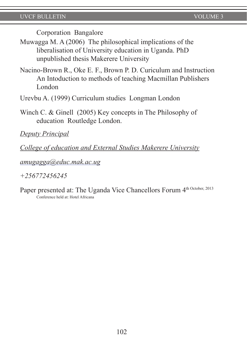Corporation Bangalore

- Muwagga M. A (2006) The philosophical implications of the liberalisation of University education in Uganda. PhD unpublished thesis Makerere University
- Nacino-Brown R., Oke E. F., Brown P. D. Curiculum and Instruction An Intoduction to methods of teaching Macmillan Publishers London
- Urevbu A. (1999) Curriculum studies Longman London
- Winch C. & Ginell (2005) Key concepts in The Philosophy of education Routledge London.

*Deputy Principal*

*College of education and External Studies Makerere University*

*amugagga@educ.mak.ac.ug*

*+256772456245*

Paper presented at: The Uganda Vice Chancellors Forum 4<sup>th October, 2013</sup> Conference held at: Hotel Africana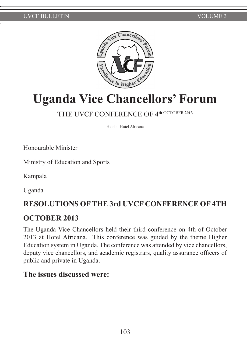

# Uganda Vice Chancellors' Forum

# THE UVCF CONFERENCE OF **4th** OCTOBER **<sup>2013</sup>**

Held at Hotel Africana

Honourable Minister

Ministry of Education and Sports

Kampala

Uganda

# **RESOLUTIONS OF THE 3rd UVCF CONFERENCE OF 4TH**

# **OCTOBER 2013**

The Uganda Vice Chancellors held their third conference on 4th of October 2013 at Hotel Africana. This conference was guided by the theme Higher Education system in Uganda. The conference was attended by vice chancellors, deputy vice chancellors, and academic registrars, quality assurance officers of public and private in Uganda.

# **The issues discussed were:**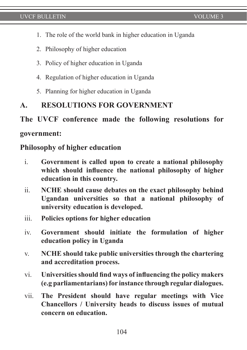- 1. The role of the world bank in higher education in Uganda
- 2. Philosophy of higher education
- 3. Policy of higher education in Uganda
- 4. Regulation of higher education in Uganda
- 5. Planning for higher education in Uganda

# **A. RESOLUTIONS FOR GOVERNMENT**

### **The UVCF conference made the following resolutions for**

#### **government:**

#### **Philosophy of higher education**

- i. **Government is called upon to create a national philosophy which should influence the national philosophy of higher education in this country.**
- ii. **NCHE should cause debates on the exact philosophy behind Ugandan universities so that a national philosophy of university education is developed.**
- iii. **Policies options for higher education**
- iv. **Government should initiate the formulation of higher education policy in Uganda**
- v. **NCHE should take public universities through the chartering and accreditation process.**
- vi. **Universities should find ways of influencing the policy makers (e.g parliamentarians) for instance through regular dialogues.**
- vii. **The President should have regular meetings with Vice Chancellors / University heads to discuss issues of mutual concern on education.**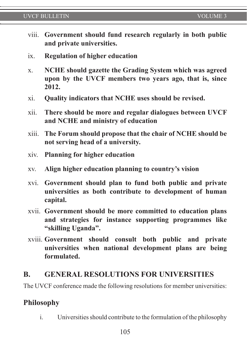#### UVCF BULLETIN **VOLUME 3**

- viii. **Government should fund research regularly in both public and private universities.**
- ix. **Regulation of higher education**
- x. **NCHE should gazette the Grading System which was agreed upon by the UVCF members two years ago, that is, since 2012.**
- xi. **Quality indicators that NCHE uses should be revised.**
- xii. **There should be more and regular dialogues between UVCF and NCHE and ministry of education**
- xiii. **The Forum should propose that the chair of NCHE should be not serving head of a university.**
- xiv. **Planning for higher education**
- xv. **Align higher education planning to country's vision**
- xvi. **Government should plan to fund both public and private universities as both contribute to development of human capital.**
- xvii. **Government should be more committed to education plans and strategies for instance supporting programmes like "skilling Uganda".**
- xviii. **Government should consult both public and private universities when national development plans are being formulated.**

### **B. GENERAL RESOLUTIONS FOR UNIVERSITIES**

The UVCF conference made the following resolutions for member universities:

#### **Philosophy**

i. Universities should contribute to the formulation of the philosophy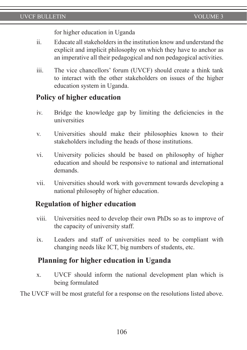for higher education in Uganda

- ii. Educate all stakeholders in the institution know and understand the explicit and implicit philosophy on which they have to anchor as an imperative all their pedagogical and non pedagogical activities.
- iii. The vice chancellors' forum (UVCF) should create a think tank to interact with the other stakeholders on issues of the higher education system in Uganda.

# **Policy of higher education**

- iv. Bridge the knowledge gap by limiting the deficiencies in the universities
- v. Universities should make their philosophies known to their stakeholders including the heads of those institutions.
- vi. University policies should be based on philosophy of higher education and should be responsive to national and international demands.
- vii. Universities should work with government towards developing a national philosophy of higher education.

# **Regulation of higher education**

- viii. Universities need to develop their own PhDs so as to improve of the capacity of university staff.
- ix. Leaders and staff of universities need to be compliant with changing needs like ICT, big numbers of students, etc.

# **Planning for higher education in Uganda**

x. UVCF should inform the national development plan which is being formulated

The UVCF will be most grateful for a response on the resolutions listed above.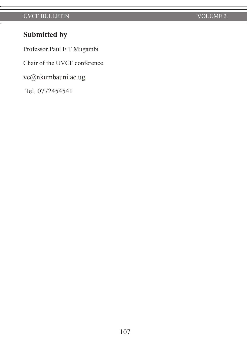# **Submitted by**

Professor Paul E T Mugambi

Chair of the UVCF conference

vc@nkumbauni.ac.ug

Tel. 0772454541